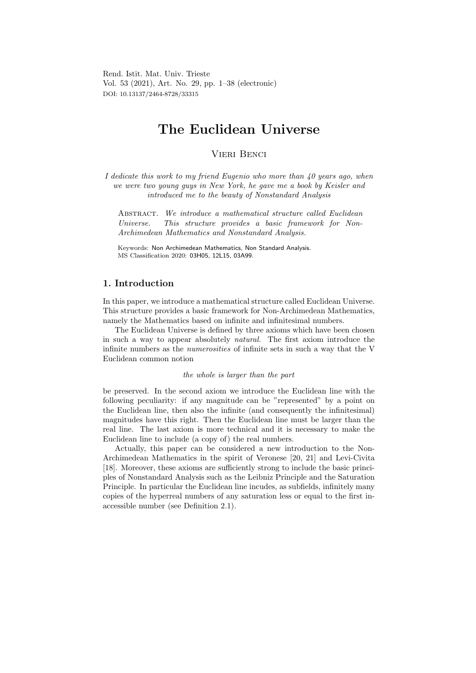Rend. Istit. Mat. Univ. Trieste Vol. 53 (2021), Art. No. 29, pp. 1–38 (electronic) DOI: 10.13137/2464-8728/33315

# The Euclidean Universe

Vieri Benci

I dedicate this work to my friend Eugenio who more than 40 years ago, when we were two young guys in New York, he gave me a book by Keisler and introduced me to the beauty of Nonstandard Analysis

ABSTRACT. We introduce a mathematical structure called Euclidean Universe. This structure provides a basic framework for Non-Archimedean Mathematics and Nonstandard Analysis.

Keywords: Non Archimedean Mathematics, Non Standard Analysis. MS Classification 2020: 03H05, 12L15, 03A99.

# 1. Introduction

In this paper, we introduce a mathematical structure called Euclidean Universe. This structure provides a basic framework for Non-Archimedean Mathematics, namely the Mathematics based on infinite and infinitesimal numbers.

The Euclidean Universe is defined by three axioms which have been chosen in such a way to appear absolutely natural. The first axiom introduce the infinite numbers as the numerosities of infinite sets in such a way that the V Euclidean common notion

### the whole is larger than the part

be preserved. In the second axiom we introduce the Euclidean line with the following peculiarity: if any magnitude can be "represented" by a point on the Euclidean line, then also the infinite (and consequently the infinitesimal) magnitudes have this right. Then the Euclidean line must be larger than the real line. The last axiom is more technical and it is necessary to make the Euclidean line to include (a copy of) the real numbers.

Actually, this paper can be considered a new introduction to the Non-Archimedean Mathematics in the spirit of Veronese [20, 21] and Levi-Civita [18]. Moreover, these axioms are sufficiently strong to include the basic principles of Nonstandard Analysis such as the Leibniz Principle and the Saturation Principle. In particular the Euclidean line incudes, as subfields, infinitely many copies of the hyperreal numbers of any saturation less or equal to the first inaccessible number (see Definition 2.1).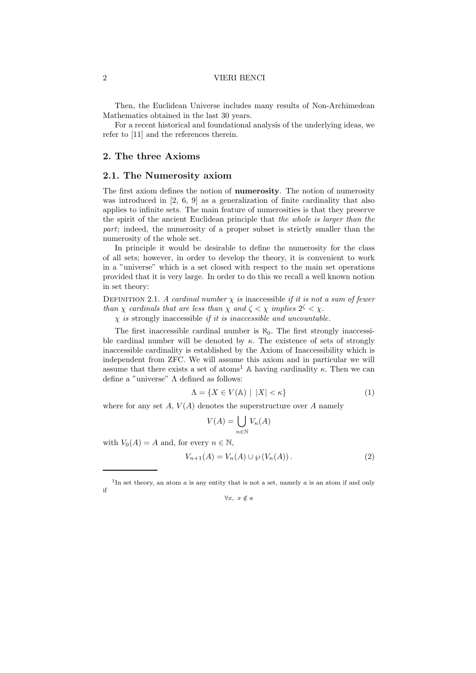Then, the Euclidean Universe includes many results of Non-Archimedean Mathematics obtained in the last 30 years.

For a recent historical and foundational analysis of the underlying ideas, we refer to [11] and the references therein.

# 2. The three Axioms

### 2.1. The Numerosity axiom

The first axiom defines the notion of numerosity. The notion of numerosity was introduced in [2, 6, 9] as a generalization of finite cardinality that also applies to infinite sets. The main feature of numerosities is that they preserve the spirit of the ancient Euclidean principle that the whole is larger than the part; indeed, the numerosity of a proper subset is strictly smaller than the numerosity of the whole set.

In principle it would be desirable to define the numerosity for the class of all sets; however, in order to develop the theory, it is convenient to work in a "universe" which is a set closed with respect to the main set operations provided that it is very large. In order to do this we recall a well known notion in set theory:

DEFINITION 2.1. A cardinal number  $\chi$  is inaccessible if it is not a sum of fewer than  $\chi$  cardinals that are less than  $\chi$  and  $\zeta < \chi$  implies  $2^{\zeta} < \chi$ .

 $\chi$  is strongly inaccessible if it is inaccessible and uncountable.

The first inaccessible cardinal number is  $\aleph_0$ . The first strongly inaccessible cardinal number will be denoted by  $\kappa$ . The existence of sets of strongly inaccessible cardinality is established by the Axiom of Inaccessibility which is independent from ZFC. We will assume this axiom and in particular we will assume that there exists a set of atoms<sup>1</sup> A having cardinality  $\kappa$ . Then we can define a "universe" Λ defined as follows:

$$
\Lambda = \{ X \in V(\mathbb{A}) \mid |X| < \kappa \} \tag{1}
$$

where for any set  $A, V(A)$  denotes the superstructure over  $A$  namely

$$
V(A) = \bigcup_{n \in \mathbb{N}} V_n(A)
$$

with  $V_0(A) = A$  and, for every  $n \in \mathbb{N}$ ,

$$
V_{n+1}(A) = V_n(A) \cup \wp(V_n(A)).
$$
 (2)

<sup>&</sup>lt;sup>1</sup>In set theory, an atom  $a$  is any entity that is not a set, namely  $a$  is an atom if and only if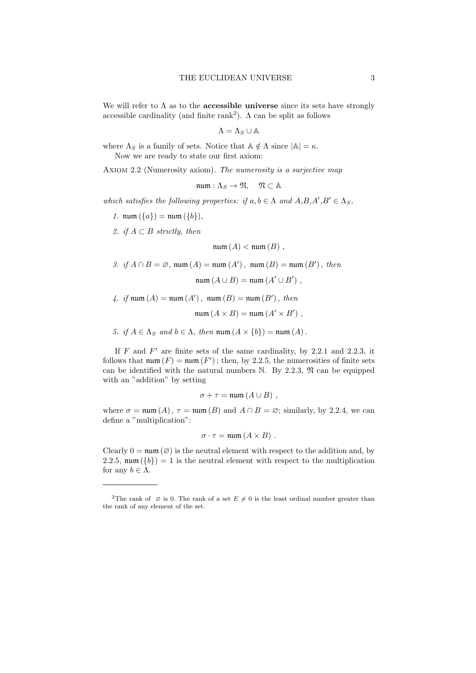We will refer to  $\Lambda$  as to the **accessible universe** since its sets have strongly accessible cardinality (and finite rank<sup>2</sup>).  $\Lambda$  can be split as follows

$$
\Lambda=\Lambda_S\cup \mathbb{A}
$$

where  $\Lambda_S$  is a family of sets. Notice that  $\mathbb{A} \notin \Lambda$  since  $|\mathbb{A}| = \kappa$ . Now we are ready to state our first axiom:

AXIOM 2.2 (Numerosity axiom). The numerosity is a surjective map

 $num : \Lambda_S \to \mathfrak{N}, \quad \mathfrak{N} \subset \mathbb{A}$ 

which satisfies the following properties: if  $a, b \in \Lambda$  and  $A, B, A', B' \in \Lambda_S$ ,

- 1.  $num({a}) = num({b}),$
- 2. if  $A \subset B$  strictly, then

 $num(A) < num(B)$ ,

- 3. if  $A \cap B = \emptyset$ , num  $(A) =$  num  $(A')$ , num  $(B) =$  num  $(B')$ , then  $num(A \cup B) = num(A' \cup B')$ ,
- 4. if  $\text{num}(A) = \text{num}(A')$ ,  $\text{num}(B) = \text{num}(B')$ , then

$$
\mathrm{num}(A \times B) = \mathrm{num}(A' \times B')
$$

5. if  $A \in \Lambda_S$  and  $b \in \Lambda$ , then num  $(A \times \{b\}) = \text{num}(A)$ .

If  $F$  and  $F'$  are finite sets of the same cardinality, by 2.2.1 and 2.2.3, it follows that  $\text{num}(F) = \text{num}(F')$ ; then, by 2.2.5, the numerosities of finite sets can be identified with the natural numbers  $\mathbb N$ . By 2.2.3,  $\mathfrak N$  can be equipped with an "addition" by setting

$$
\sigma + \tau = \min(A \cup B) ,
$$

where  $\sigma = \text{num}(A)$ ,  $\tau = \text{num}(B)$  and  $A \cap B = \emptyset$ ; similarly, by 2.2.4, we can define a "multiplication":

$$
\sigma \cdot \tau = \min(A \times B) \; .
$$

Clearly  $0 = \text{num}(\emptyset)$  is the neutral element with respect to the addition and, by 2.2.5,  $\text{num}(\{b\}) = 1$  is the neutral element with respect to the multiplication for any  $b \in \Lambda$ .

<sup>&</sup>lt;sup>2</sup>The rank of  $\varnothing$  is 0. The rank of a set  $E \neq 0$  is the least ordinal number greater than the rank of any element of the set.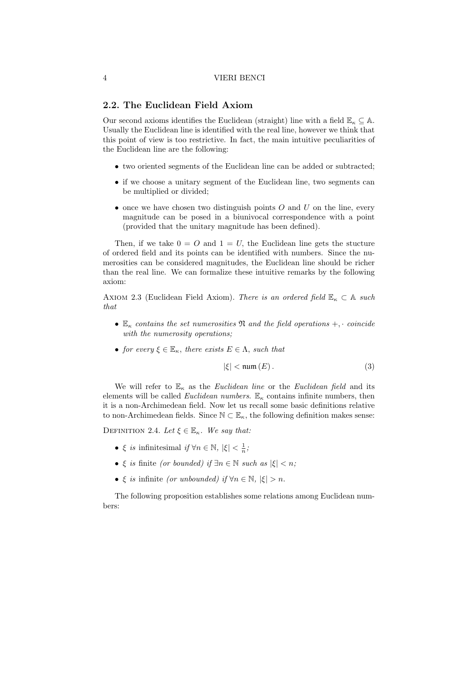# 2.2. The Euclidean Field Axiom

Our second axioms identifies the Euclidean (straight) line with a field  $\mathbb{E}_{\kappa} \subseteq \mathbb{A}$ . Usually the Euclidean line is identified with the real line, however we think that this point of view is too restrictive. In fact, the main intuitive peculiarities of the Euclidean line are the following:

- two oriented segments of the Euclidean line can be added or subtracted;
- if we choose a unitary segment of the Euclidean line, two segments can be multiplied or divided;
- once we have chosen two distinguish points  $O$  and  $U$  on the line, every magnitude can be posed in a biunivocal correspondence with a point (provided that the unitary magnitude has been defined).

Then, if we take  $0 = O$  and  $1 = U$ , the Euclidean line gets the stucture of ordered field and its points can be identified with numbers. Since the numerosities can be considered magnitudes, the Euclidean line should be richer than the real line. We can formalize these intuitive remarks by the following axiom:

AXIOM 2.3 (Euclidean Field Axiom). There is an ordered field  $\mathbb{E}_{\kappa} \subset \mathbb{A}$  such that

- $\mathbb{E}_{\kappa}$  contains the set numerosities  $\mathfrak{N}$  and the field operations  $+$ , · coincide with the numerosity operations;
- for every  $\xi \in \mathbb{E}_{\kappa}$ , there exists  $E \in \Lambda$ , such that

$$
|\xi| < \min(E). \tag{3}
$$

We will refer to  $\mathbb{E}_{\kappa}$  as the *Euclidean line* or the *Euclidean field* and its elements will be called *Euclidean numbers*.  $\mathbb{E}_{\kappa}$  contains infinite numbers, then it is a non-Archimedean field. Now let us recall some basic definitions relative to non-Archimedean fields. Since  $\mathbb{N} \subset \mathbb{E}_{\kappa}$ , the following definition makes sense:

DEFINITION 2.4. Let  $\xi \in \mathbb{E}_{\kappa}$ . We say that:

- ξ *is* infinitesimal  $if \forall n \in \mathbb{N}, |\xi| < \frac{1}{n}$ ;
- $\xi$  is finite (or bounded) if  $\exists n \in \mathbb{N}$  such as  $|\xi| < n$ ;
- ξ is infinite (or unbounded) if  $\forall n \in \mathbb{N}$ ,  $|\xi| > n$ .

The following proposition establishes some relations among Euclidean numbers: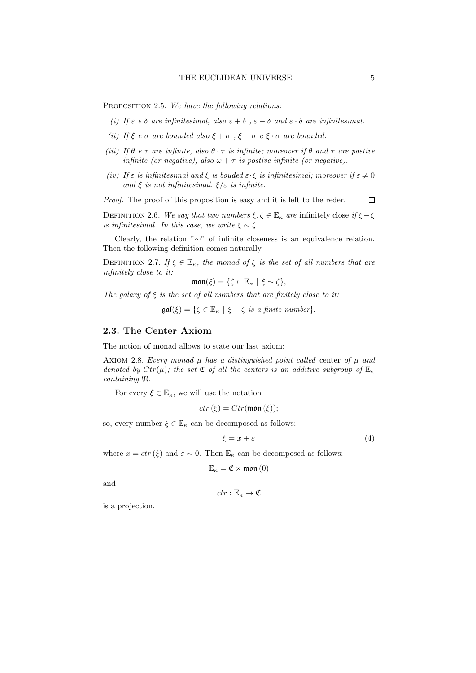PROPOSITION 2.5. We have the following relations:

- (i) If  $\varepsilon$  e  $\delta$  are infinitesimal, also  $\varepsilon + \delta$ ,  $\varepsilon \delta$  and  $\varepsilon \cdot \delta$  are infinitesimal.
- (ii) If  $\xi$  e  $\sigma$  are bounded also  $\xi + \sigma$ ,  $\xi \sigma$  e  $\xi \cdot \sigma$  are bounded.
- (iii) If  $\theta$  e  $\tau$  are infinite, also  $\theta \cdot \tau$  is infinite; moreover if  $\theta$  and  $\tau$  are postive infinite (or negative), also  $\omega + \tau$  is postive infinite (or negative).
- (iv) If  $\varepsilon$  is infinitesimal and  $\xi$  is bouded  $\varepsilon \cdot \xi$  is infinitesimal; moreover if  $\varepsilon \neq 0$ and  $\xi$  is not infinitesimal,  $\xi/\varepsilon$  is infinite.

Proof. The proof of this proposition is easy and it is left to the reder.  $\Box$ 

DEFINITION 2.6. We say that two numbers  $\xi, \zeta \in \mathbb{E}_{\kappa}$  are infinitely close if  $\xi - \zeta$ is infinitesimal. In this case, we write  $\xi \sim \zeta$ .

Clearly, the relation "∼" of infinite closeness is an equivalence relation. Then the following definition comes naturally

DEFINITION 2.7. If  $\xi \in \mathbb{E}_{\kappa}$ , the monad of  $\xi$  is the set of all numbers that are infinitely close to it:

$$
\mathfrak{mon}(\xi)=\{\zeta\in\mathbb{E}_\kappa\mid \xi\sim\zeta\},
$$

The galaxy of  $\xi$  is the set of all numbers that are finitely close to it:

 $\mathfrak{gal}(\xi) = \{ \zeta \in \mathbb{E}_{\kappa} \mid \xi - \zeta \text{ is a finite number} \}.$ 

# 2.3. The Center Axiom

The notion of monad allows to state our last axiom:

AXIOM 2.8. Every monad  $\mu$  has a distinguished point called center of  $\mu$  and denoted by  $Ctr(\mu)$ ; the set  $\mathfrak C$  of all the centers is an additive subgroup of  $\mathbb E_{\kappa}$ containing N.

For every  $\xi \in \mathbb{E}_{\kappa}$ , we will use the notation

$$
ctr(\xi) = Ctr(\mathfrak{mon}(\xi));
$$

so, every number  $\xi \in \mathbb{E}_{\kappa}$  can be decomposed as follows:

$$
\xi = x + \varepsilon \tag{4}
$$

where  $x = \text{ctr}(\xi)$  and  $\varepsilon \sim 0$ . Then  $\mathbb{E}_{\kappa}$  can be decomposed as follows:

$$
\mathbb{E}_{\kappa}=\mathfrak{C}\times\mathfrak{mon}\left(0\right)
$$

and

$$
ctr:\mathbb{E}_\kappa\to\mathfrak{C}
$$

is a projection.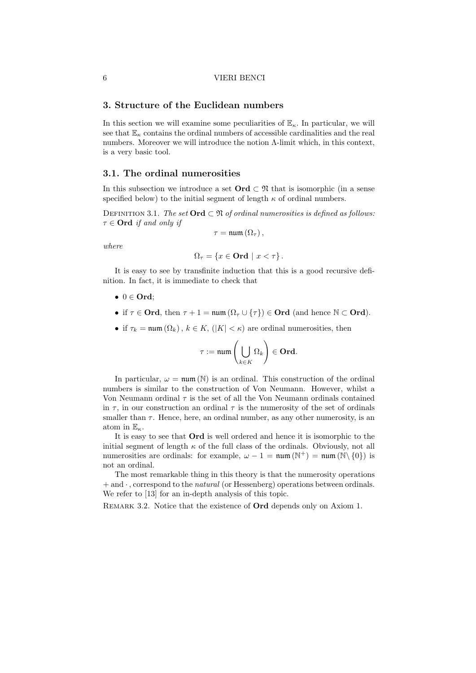# 3. Structure of the Euclidean numbers

In this section we will examine some peculiarities of  $\mathbb{E}_{\kappa}$ . In particular, we will see that  $\mathbb{E}_{\kappa}$  contains the ordinal numbers of accessible cardinalities and the real numbers. Moreover we will introduce the notion Λ-limit which, in this context, is a very basic tool.

### 3.1. The ordinal numerosities

In this subsection we introduce a set  $\mathbf{Ord}\subset\mathfrak{N}$  that is isomorphic (in a sense specified below) to the initial segment of length  $\kappa$  of ordinal numbers.

DEFINITION 3.1. The set  $\text{Ord}\subset \mathfrak{N}$  of ordinal numerosities is defined as follows:  $\tau \in \mathbf{Ord}$  if and only if

$$
\tau = \min\left(\Omega_{\tau}\right),
$$

where

$$
\Omega_{\tau} = \{ x \in \mathbf{Ord} \mid x < \tau \} \, .
$$

It is easy to see by transfinite induction that this is a good recursive definition. In fact, it is immediate to check that

- $0 \in \mathbf{Ord}$ :
- if  $\tau \in \mathbf{Ord}$ , then  $\tau + 1 = \min(\Omega_{\tau} \cup {\tau}) \in \mathbf{Ord}$  (and hence  $\mathbb{N} \subset \mathbf{Ord}$ ).
- if  $\tau_k = \min(\Omega_k)$ ,  $k \in K$ ,  $(|K| < \kappa)$  are ordinal numerosities, then

$$
\tau := \operatorname{num}\left(\bigcup_{k \in K} \Omega_k\right) \in \mathbf{Ord}.
$$

In particular,  $\omega = \text{num}(\mathbb{N})$  is an ordinal. This construction of the ordinal numbers is similar to the construction of Von Neumann. However, whilst a Von Neumann ordinal  $\tau$  is the set of all the Von Neumann ordinals contained in  $\tau$ , in our construction an ordinal  $\tau$  is the numerosity of the set of ordinals smaller than  $\tau$ . Hence, here, an ordinal number, as any other numerosity, is an atom in  $\mathbb{E}_{\kappa}$ .

It is easy to see that Ord is well ordered and hence it is isomorphic to the initial segment of length  $\kappa$  of the full class of the ordinals. Obviously, not all numerosities are ordinals: for example,  $\omega - 1 = \text{num}(\mathbb{N}^+) = \text{num}(\mathbb{N}\setminus\{0\})$  is not an ordinal.

The most remarkable thing in this theory is that the numerosity operations  $+$  and  $\cdot$ , correspond to the *natural* (or Hessenberg) operations between ordinals. We refer to [13] for an in-depth analysis of this topic.

REMARK 3.2. Notice that the existence of **Ord** depends only on Axiom 1.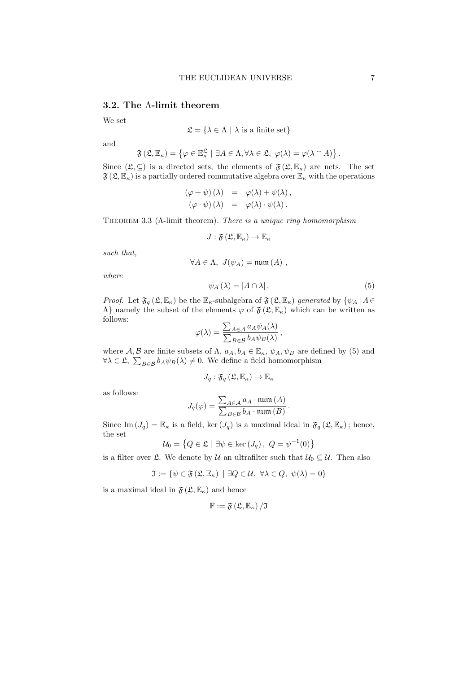# 3.2. The Λ-limit theorem

We set

$$
\mathfrak{L} = \{ \lambda \in \Lambda \mid \lambda \text{ is a finite set} \}
$$

and

$$
\mathfrak{F}(\mathfrak{L}, \mathbb{E}_{\kappa}) = \left\{ \varphi \in \mathbb{E}_{\kappa}^{\mathfrak{L}} \mid \exists A \in \Lambda, \forall \lambda \in \mathfrak{L}, \ \varphi(\lambda) = \varphi(\lambda \cap A) \right\}.
$$

Since  $(\mathfrak{L}, \subseteq)$  is a directed sets, the elements of  $\mathfrak{F}(\mathfrak{L}, \mathbb{E}_{\kappa})$  are nets. The set  $\mathfrak{F}(\mathfrak{L}, \mathbb{E}_{\kappa})$  is a partially ordered commutative algebra over  $\mathbb{E}_{\kappa}$  with the operations

$$
(\varphi + \psi)(\lambda) = \varphi(\lambda) + \psi(\lambda),
$$
  

$$
(\varphi \cdot \psi)(\lambda) = \varphi(\lambda) \cdot \psi(\lambda).
$$

THEOREM 3.3 ( $\Lambda$ -limit theorem). There is a unique ring homomorphism

$$
J:\mathfrak{F}\left(\mathfrak{L},\mathbb{E}_{\kappa}\right)\rightarrow\mathbb{E}_{\kappa}
$$

such that,

$$
\forall A \in \Lambda, J(\psi_A) = \text{num}(A) ,
$$

where

$$
\psi_A(\lambda) = |A \cap \lambda| \,. \tag{5}
$$

.

*Proof.* Let  $\mathfrak{F}_q$  ( $\mathfrak{L}, \mathbb{E}_{\kappa}$ ) be the  $\mathbb{E}_{\kappa}$ -subalgebra of  $\mathfrak{F}(\mathfrak{L}, \mathbb{E}_{\kappa})$  generated by  $\{\psi_A \,|\, A \in$  $Λ$ } namely the subset of the elements  $\varphi$  of  $\mathfrak{F}(\mathfrak{L}, \mathbb{E}_{\kappa})$  which can be written as follows:

$$
\varphi(\lambda) = \frac{\sum_{A \in \mathcal{A}} a_A \psi_A(\lambda)}{\sum_{B \in \mathcal{B}} b_A \psi_B(\lambda)},
$$

where  $\mathcal{A}, \mathcal{B}$  are finite subsets of  $\Lambda$ ,  $a_A, b_A \in \mathbb{E}_{\kappa}, \psi_A, \psi_B$  are defined by (5) and  $\forall \lambda \in \mathfrak{L}, \sum_{B \in \mathcal{B}} b_A \psi_B(\lambda) \neq 0$ . We define a field homomorphism

$$
J_q: \mathfrak{F}_q\left(\mathfrak{L}, \mathbb{E}_{\kappa}\right) \to \mathbb{E}_{\kappa}
$$

as follows:

$$
J_q(\varphi) = \frac{\sum_{A \in \mathcal{A}} a_A \cdot \operatorname{num}(A)}{\sum_{B \in \mathcal{B}} b_A \cdot \operatorname{num}(B)}
$$

Since Im  $(J_q) = \mathbb{E}_{\kappa}$  is a field, ker  $(J_q)$  is a maximal ideal in  $\mathfrak{F}_q(\mathfrak{L}, \mathbb{E}_{\kappa})$ ; hence, the set

$$
\mathcal{U}_0 = \left\{ Q \in \mathfrak{L} \mid \exists \psi \in \ker \left( J_q \right), \ Q = \psi^{-1}(0) \right\}
$$

is a filter over  $\mathfrak{L}$ . We denote by U an ultrafilter such that  $U_0 \subseteq U$ . Then also

$$
\mathfrak{I} := \{ \psi \in \mathfrak{F} \left( \mathfrak{L}, \mathbb{E}_{\kappa} \right) \mid \exists Q \in \mathcal{U}, \ \forall \lambda \in Q, \ \psi(\lambda) = 0 \}
$$

is a maximal ideal in  $\mathfrak{F}(\mathfrak{L}, \mathbb{E}_{\kappa})$  and hence

$$
\mathbb{F}:=\mathfrak{F}\left(\mathfrak{L},\mathbb{E}_\kappa\right)/\mathfrak{I}
$$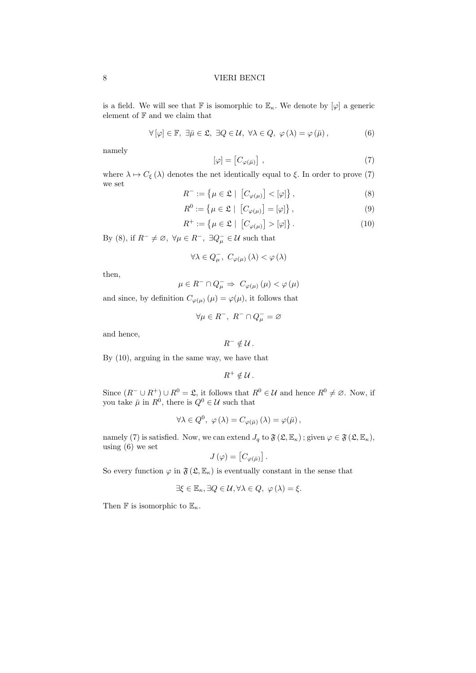is a field. We will see that  $\mathbb F$  is isomorphic to  $\mathbb E_{\kappa}$ . We denote by  $[\varphi]$  a generic element of  $\mathbb F$  and we claim that

$$
\forall [\varphi] \in \mathbb{F}, \ \exists \bar{\mu} \in \mathfrak{L}, \ \exists Q \in \mathcal{U}, \ \forall \lambda \in Q, \ \varphi(\lambda) = \varphi(\bar{\mu}), \tag{6}
$$

namely

$$
[\varphi] = [C_{\varphi(\bar{\mu})}], \qquad (7)
$$

where  $\lambda \mapsto C_{\xi} (\lambda)$  denotes the net identically equal to  $\xi$ . In order to prove (7) we set

$$
R^{-} := \left\{ \mu \in \mathfrak{L} \mid \left[ C_{\varphi(\mu)} \right] < [\varphi] \right\},\tag{8}
$$

$$
R^0 := \left\{ \mu \in \mathfrak{L} \mid \left[ C_{\varphi(\mu)} \right] = [\varphi] \right\},\tag{9}
$$

$$
R^{+} := \left\{ \mu \in \mathfrak{L} \mid \left[ C_{\varphi(\mu)} \right] > [\varphi] \right\}.
$$
 (10)

By (8), if  $R^{-} \neq \emptyset$ ,  $\forall \mu \in R^{-}$ ,  $\exists Q_{\mu}^{-} \in \mathcal{U}$  such that

$$
\forall \lambda \in Q_{\mu}^{-}, \ C_{\varphi(\mu)}(\lambda) < \varphi(\lambda)
$$

then,

$$
\mu \in R^- \cap Q_\mu^- \Rightarrow \ C_{\varphi(\mu)} \left( \mu \right) < \varphi \left( \mu \right)
$$

and since, by definition  $C_{\varphi(\mu)}(\mu) = \varphi(\mu)$ , it follows that

$$
\forall \mu \in R^-, \ R^- \cap Q^-_{\mu} = \varnothing
$$

and hence,

$$
R^- \notin \mathcal{U} \, .
$$

By (10), arguing in the same way, we have that

$$
R^+\notin\mathcal{U}\,.
$$

Since  $(R^- \cup R^+) \cup R^0 = \mathfrak{L}$ , it follows that  $R^0 \in \mathcal{U}$  and hence  $R^0 \neq \emptyset$ . Now, if you take  $\bar{\mu}$  in  $R^0$ , there is  $Q^0 \in \mathcal{U}$  such that

$$
\forall \lambda \in Q^0, \ \varphi(\lambda) = C_{\varphi(\bar{\mu})}(\lambda) = \varphi(\bar{\mu}),
$$

namely (7) is satisfied. Now, we can extend  $J_q$  to  $\mathfrak{F}(\mathfrak{L}, \mathbb{E}_{\kappa})$ ; given  $\varphi \in \mathfrak{F}(\mathfrak{L}, \mathbb{E}_{\kappa})$ , using (6) we set

$$
J(\varphi) = [C_{\varphi(\bar{\mu})}].
$$

So every function  $\varphi$  in  $\mathfrak{F}(\mathfrak{L}, \mathbb{E}_{\kappa})$  is eventually constant in the sense that

$$
\exists \xi \in \mathbb{E}_{\kappa}, \exists Q \in \mathcal{U}, \forall \lambda \in Q, \ \varphi(\lambda) = \xi.
$$

Then  $\mathbb F$  is isomorphic to  $\mathbb E_\kappa$ .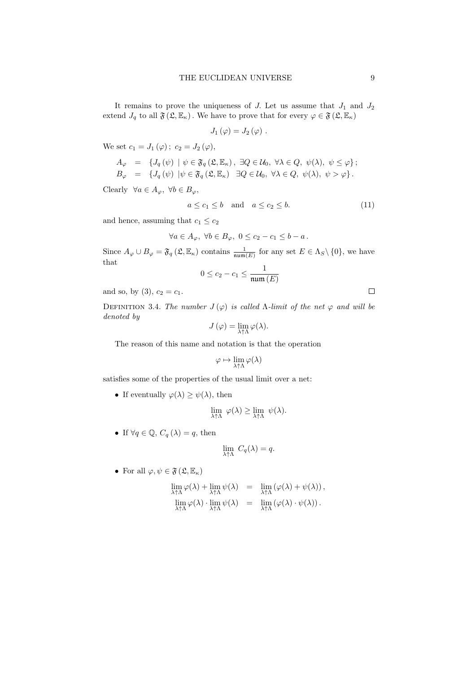It remains to prove the uniqueness of  $J$ . Let us assume that  $J_1$  and  $J_2$ extend  $J_q$  to all  $\mathfrak{F}(\mathfrak{L}, \mathbb{E}_{\kappa})$ . We have to prove that for every  $\varphi \in \mathfrak{F}(\mathfrak{L}, \mathbb{E}_{\kappa})$ 

$$
J_1(\varphi)=J_2(\varphi) .
$$

We set  $c_1 = J_1(\varphi)$ ;  $c_2 = J_2(\varphi)$ ,

$$
A_{\varphi} = \{ J_q(\psi) \mid \psi \in \mathfrak{F}_q(\mathfrak{L}, \mathbb{E}_{\kappa}), \exists Q \in \mathcal{U}_0, \ \forall \lambda \in Q, \ \psi(\lambda), \ \psi \leq \varphi \};
$$
  

$$
B_{\varphi} = \{ J_q(\psi) \mid \psi \in \mathfrak{F}_q(\mathfrak{L}, \mathbb{E}_{\kappa}) \ \exists Q \in \mathcal{U}_0, \ \forall \lambda \in Q, \ \psi(\lambda), \ \psi > \varphi \}.
$$

Clearly  $\forall a \in A_{\varphi}, \ \forall b \in B_{\varphi},$ 

$$
a \le c_1 \le b \quad \text{and} \quad a \le c_2 \le b. \tag{11}
$$

and hence, assuming that  $c_1 \leq c_2$ 

$$
\forall a \in A_{\varphi}, \ \forall b \in B_{\varphi}, \ 0 \le c_2 - c_1 \le b - a \, .
$$

Since  $A_{\varphi} \cup B_{\varphi} = \mathfrak{F}_q(\mathfrak{L}, \mathbb{E}_{\kappa})$  contains  $\frac{1}{\operatorname{num}(E)}$  for any set  $E \in \Lambda_S \setminus \{0\}$ , we have that

$$
0 \leq c_2 - c_1 \leq \frac{1}{\min{(E)}}
$$

and so, by (3),  $c_2 = c_1$ .

DEFINITION 3.4. The number  $J(\varphi)$  is called *Λ*-limit of the net  $\varphi$  and will be denoted by

$$
J(\varphi) = \lim_{\lambda \uparrow \Lambda} \varphi(\lambda).
$$

The reason of this name and notation is that the operation

$$
\varphi \mapsto \lim_{\lambda \uparrow \Lambda} \varphi(\lambda)
$$

satisfies some of the properties of the usual limit over a net:

• If eventually  $\varphi(\lambda) \geq \psi(\lambda)$ , then

$$
\lim_{\lambda \uparrow \Lambda} \varphi(\lambda) \ge \lim_{\lambda \uparrow \Lambda} \psi(\lambda).
$$

• If  $\forall q \in \mathbb{Q}, C_q(\lambda) = q$ , then

$$
\lim_{\lambda \uparrow \Lambda} C_q(\lambda) = q.
$$

• For all  $\varphi, \psi \in \mathfrak{F}(\mathfrak{L}, \mathbb{E}_{\kappa})$ 

$$
\lim_{\lambda \uparrow \Lambda} \varphi(\lambda) + \lim_{\lambda \uparrow \Lambda} \psi(\lambda) = \lim_{\lambda \uparrow \Lambda} (\varphi(\lambda) + \psi(\lambda)),
$$
  

$$
\lim_{\lambda \uparrow \Lambda} \varphi(\lambda) \cdot \lim_{\lambda \uparrow \Lambda} \psi(\lambda) = \lim_{\lambda \uparrow \Lambda} (\varphi(\lambda) \cdot \psi(\lambda)).
$$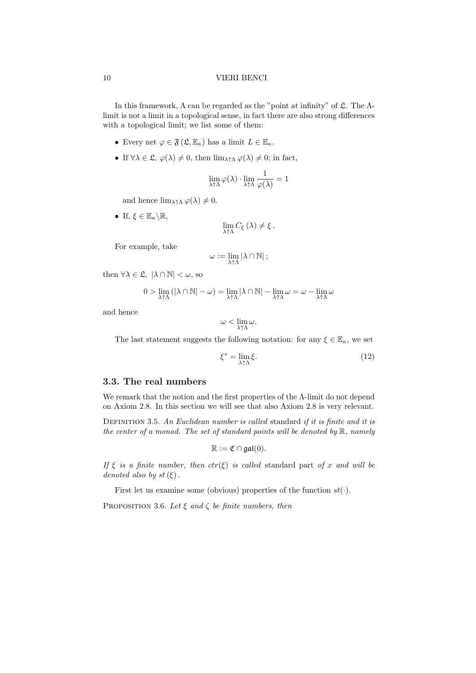In this framework,  $\Lambda$  can be regarded as the "point at infinity" of  $\mathfrak{L}$ . The  $\Lambda$ limit is not a limit in a topological sense, in fact there are also strong differences with a topological limit; we list some of them:

- Every net  $\varphi \in \mathfrak{F}(\mathfrak{L}, \mathbb{E}_{\kappa})$  has a limit  $L \in \mathbb{E}_{\kappa}$ .
- If  $\forall \lambda \in \mathfrak{L}, \varphi(\lambda) \neq 0$ , then  $\lim_{\lambda \uparrow \Lambda} \varphi(\lambda) \neq 0$ ; in fact,

$$
\lim_{\lambda\uparrow\Lambda}\varphi(\lambda)\cdot\lim_{\lambda\uparrow\Lambda}\frac{1}{\varphi(\lambda)}=1
$$

and hence  $\lim_{\lambda \uparrow \Lambda} \varphi(\lambda) \neq 0$ .

• If,  $\xi \in \mathbb{E}_{\kappa} \backslash \mathbb{R}$ ,

$$
\lim_{\lambda\uparrow\Lambda}C_{\xi}\left(\lambda\right)\neq\xi.
$$

For example, take

$$
\omega:=\lim_{\lambda\uparrow\Lambda}\left|\lambda\cap\mathbb{N}\right|;
$$

then  $\forall \lambda \in \mathfrak{L}, |\lambda \cap \mathbb{N}| < \omega$ , so

$$
0>\lim_{\lambda\uparrow\Lambda}(|\lambda\cap\mathbb{N}|-\omega)=\lim_{\lambda\uparrow\Lambda}|\lambda\cap\mathbb{N}|-\lim_{\lambda\uparrow\Lambda}\omega=\omega-\lim_{\lambda\uparrow\Lambda}\omega
$$

and hence

$$
\omega < \lim_{\lambda \uparrow \Lambda} \omega.
$$

The last statement suggests the following notation: for any  $\xi \in \mathbb{E}_{\kappa}$ , we set

$$
\xi^* = \lim_{\lambda \uparrow \Lambda} \xi. \tag{12}
$$

# 3.3. The real numbers

We remark that the notion and the first properties of the Λ-limit do not depend on Axiom 2.8. In this section we will see that also Axiom 2.8 is very relevant.

DEFINITION 3.5. An Euclidean number is called standard if it is finite and it is the center of a monad. The set of standard points will be denoted by  $\mathbb{R}$ , namely

$$
\mathbb{R}:=\mathfrak{C}\cap\mathfrak{gal}(0).
$$

If  $\xi$  is a finite number, then  $ctr(\xi)$  is called standard part of x and will be denoted also by st $(\xi)$ .

First let us examine some (obvious) properties of the function  $st(\cdot)$ .

PROPOSITION 3.6. Let  $\xi$  and  $\zeta$  be finite numbers, then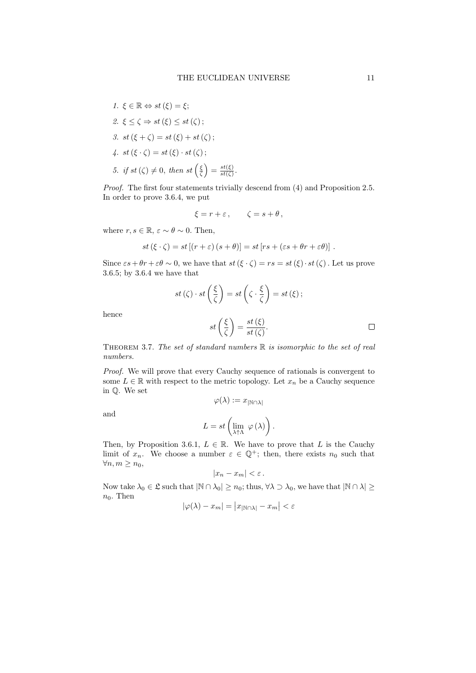\n- 1. 
$$
\xi \in \mathbb{R} \Leftrightarrow st(\xi) = \xi;
$$
\n- 2.  $\xi \leq \zeta \Rightarrow st(\xi) \leq st(\zeta);$
\n- 3.  $st(\xi + \zeta) = st(\xi) + st(\zeta);$
\n- 4.  $st(\xi \cdot \zeta) = st(\xi) \cdot st(\zeta);$
\n- 5.  $if \, st(\zeta) \neq 0, \, then \, st\left(\frac{\xi}{\zeta}\right) = \frac{st(\xi)}{st(\zeta)}.$
\n

Proof. The first four statements trivially descend from  $(4)$  and Proposition 2.5. In order to prove 3.6.4, we put

$$
\xi = r + \varepsilon \,, \qquad \zeta = s + \theta \,,
$$

where  $r, s \in \mathbb{R}, \varepsilon \sim \theta \sim 0$ . Then,

$$
st(\xi \cdot \zeta) = st[(r + \varepsilon) (s + \theta)] = st[rs + (\varepsilon s + \theta r + \varepsilon \theta)].
$$

Since  $\epsilon s + \theta r + \epsilon \theta \sim 0$ , we have that  $st(\xi \cdot \zeta) = rs = st(\xi) \cdot st(\zeta)$ . Let us prove 3.6.5; by 3.6.4 we have that

$$
st(\zeta) \cdot st\left(\frac{\xi}{\zeta}\right) = st\left(\zeta \cdot \frac{\xi}{\zeta}\right) = st(\xi);
$$

$$
st\left(\frac{\xi}{\zeta}\right) = \frac{st(\xi)}{st(\zeta)}.
$$

hence

THEOREM 3.7. The set of standard numbers  $\mathbb R$  is isomorphic to the set of real numbers.

Proof. We will prove that every Cauchy sequence of rationals is convergent to some  $L \in \mathbb{R}$  with respect to the metric topology. Let  $x_n$  be a Cauchy sequence in Q. We set

and

$$
\varphi(\lambda):=x_{|\mathbb{N}\cap\lambda|}
$$

$$
L = st\left(\lim_{\lambda \uparrow \Lambda} \varphi(\lambda)\right).
$$

Then, by Proposition 3.6.1,  $L \in \mathbb{R}$ . We have to prove that L is the Cauchy limit of  $x_n$ . We choose a number  $\varepsilon \in \mathbb{Q}^+$ ; then, there exists  $n_0$  such that  $\forall n, m \geq n_0,$ 

$$
|x_n-x_m|<\varepsilon.
$$

Now take  $\lambda_0 \in \mathfrak{L}$  such that  $|\mathbb{N} \cap \lambda_0| \geq n_0$ ; thus,  $\forall \lambda \supset \lambda_0$ , we have that  $|\mathbb{N} \cap \lambda| \geq$  $n_0$ . Then  $\mathcal{L}$ 

$$
|\varphi(\lambda) - x_m| = |x_{|\mathbb{N} \cap \lambda|} - x_m| < \varepsilon
$$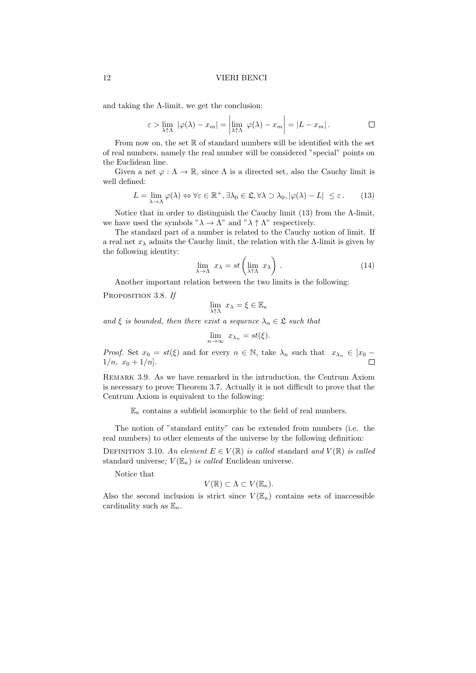and taking the  $\Lambda$ -limit, we get the conclusion:

$$
\varepsilon > \lim_{\lambda \uparrow \Lambda} |\varphi(\lambda) - x_m| = \left| \lim_{\lambda \uparrow \Lambda} \varphi(\lambda) - x_m \right| = |L - x_m|.
$$

From now on, the set  $\mathbb R$  of standard numbers will be identified with the set of real numbers, namely the real number will be considered "special" points on the Euclidean line.

Given a net  $\varphi : \Lambda \to \mathbb{R}$ , since  $\Lambda$  is a directed set, also the Cauchy limit is well defined:

$$
L = \lim_{\lambda \to \Lambda} \varphi(\lambda) \Leftrightarrow \forall \varepsilon \in \mathbb{R}^+, \exists \lambda_0 \in \mathfrak{L}, \forall \lambda \supset \lambda_0, |\varphi(\lambda) - L| \le \varepsilon. \tag{13}
$$

Notice that in order to distinguish the Cauchy limit  $(13)$  from the  $\Lambda$ -limit, we have used the symbols " $\lambda \to \Lambda$ " and " $\lambda \uparrow \Lambda$ " respectively.

The standard part of a number is related to the Cauchy notion of limit. If a real net  $x_{\lambda}$  admits the Cauchy limit, the relation with the  $\Lambda$ -limit is given by the following identity:

$$
\lim_{\lambda \to \Lambda} x_{\lambda} = st \left( \lim_{\lambda \uparrow \Lambda} x_{\lambda} \right). \tag{14}
$$

Another important relation between the two limits is the following:

PROPOSITION 3.8. If

$$
\lim_{\lambda \uparrow \Lambda} x_{\lambda} = \xi \in \mathbb{E}_{\kappa}
$$

and  $\xi$  is bounded, then there exist a sequence  $\lambda_n \in \mathfrak{L}$  such that

$$
\lim_{n \to \infty} x_{\lambda_n} = st(\xi).
$$

*Proof.* Set  $x_0 = st(\xi)$  and for every  $n \in \mathbb{N}$ , take  $\lambda_n$  such that  $x_{\lambda_n} \in [x_0 - 1/n, x_0 + 1/n]$ .  $1/n, x_0 + 1/n$ .

Remark 3.9. As we have remarked in the intruduction, the Centrum Axiom is necessary to prove Theorem 3.7. Actually it is not difficult to prove that the Centrum Axiom is equivalent to the following:

 $\mathbb{E}_{\kappa}$  contains a subfield isomorphic to the field of real numbers.

The notion of "standard entity" can be extended from numbers (i.e. the real numbers) to other elements of the universe by the following definition:

DEFINITION 3.10. An element  $E \in V(\mathbb{R})$  is called standard and  $V(\mathbb{R})$  is called standard universe;  $V(\mathbb{E}_{\kappa})$  is called Euclidean universe.

Notice that

$$
V(\mathbb{R}) \subset \Lambda \subset V(\mathbb{E}_{\kappa}).
$$

Also the second inclusion is strict since  $V(\mathbb{E}_{\kappa})$  contains sets of inaccessible cardinality such as  $\mathbb{E}_{\kappa}$ .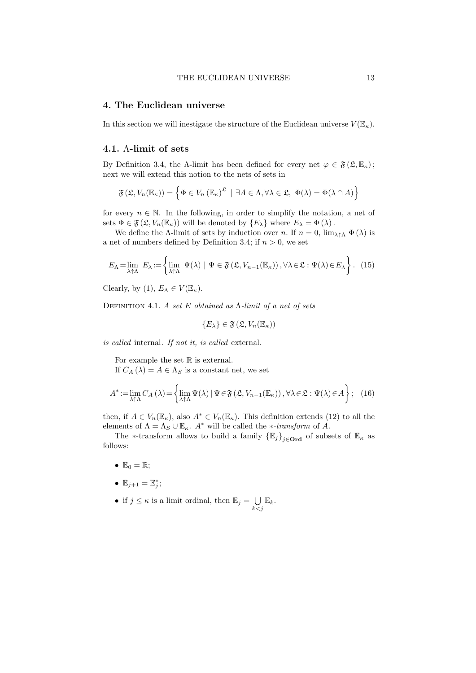### 4. The Euclidean universe

In this section we will inestigate the structure of the Euclidean universe  $V(\mathbb{E}_{\kappa})$ .

# 4.1. Λ-limit of sets

By Definition 3.4, the Λ-limit has been defined for every net  $\varphi \in \mathfrak{F}(\mathfrak{L}, \mathbb{E}_{\kappa})$ ; next we will extend this notion to the nets of sets in

$$
\mathfrak{F}(\mathfrak{L}, V_n(\mathbb{E}_\kappa)) = \left\{ \Phi \in V_n(\mathbb{E}_\kappa)^{\mathfrak{L}} \mid \exists A \in \Lambda, \forall \lambda \in \mathfrak{L}, \Phi(\lambda) = \Phi(\lambda \cap A) \right\}
$$

for every  $n \in \mathbb{N}$ . In the following, in order to simplify the notation, a net of sets  $\Phi \in \mathfrak{F}(\mathfrak{L}, V_n(\mathbb{E}_{\kappa}))$  will be denoted by  $\{E_{\lambda}\}\$  where  $E_{\lambda} = \Phi(\lambda)$ .

We define the Λ-limit of sets by induction over n. If  $n = 0$ ,  $\lim_{\lambda \uparrow \Lambda} \Phi(\lambda)$  is a net of numbers defined by Definition 3.4; if  $n > 0$ , we set

$$
E_{\Lambda} = \lim_{\lambda \uparrow \Lambda} E_{\lambda} := \left\{ \lim_{\lambda \uparrow \Lambda} \Psi(\lambda) \mid \Psi \in \mathfrak{F} \left( \mathfrak{L}, V_{n-1}(\mathbb{E}_{\kappa}) \right), \forall \lambda \in \mathfrak{L} : \Psi(\lambda) \in E_{\lambda} \right\}.
$$
 (15)

Clearly, by (1),  $E_{\Lambda} \in V(\mathbb{E}_{\kappa})$ .

DEFINITION 4.1. A set E obtained as  $\Lambda$ -limit of a net of sets

$$
\{E_{\lambda}\}\in \mathfrak{F}\left(\mathfrak{L},V_n(\mathbb{E}_\kappa)\right)
$$

is called internal. If not it, is called external.

For example the set  $\mathbb R$  is external.

If  $C_A(\lambda) = A \in \Lambda_S$  is a constant net, we set

$$
A^* := \lim_{\lambda \uparrow \Lambda} C_A (\lambda) = \left\{ \lim_{\lambda \uparrow \Lambda} \Psi(\lambda) \mid \Psi \in \mathfrak{F} \left( \mathfrak{L}, V_{n-1}(\mathbb{E}_{\kappa}) \right), \forall \lambda \in \mathfrak{L} : \Psi(\lambda) \in A \right\}; \quad (16)
$$

then, if  $A \in V_n(\mathbb{E}_{\kappa})$ , also  $A^* \in V_n(\mathbb{E}_{\kappa})$ . This definition extends (12) to all the elements of  $\Lambda = \Lambda_S \cup \mathbb{E}_{\kappa}$ . A<sup>\*</sup> will be called the *\*-transform* of A.

The ∗-transform allows to build a family  $\{\mathbb{E}_j\}_{j\in \mathbf{Ord}}$  of subsets of  $\mathbb{E}_\kappa$  as follows:

- $\mathbb{E}_0 = \mathbb{R}$ ;
- $\mathbb{E}_{j+1} = \mathbb{E}_j^*$ ;
- if  $j \leq \kappa$  is a limit ordinal, then  $\mathbb{E}_j = \bigcup$  $\bigcup_{k < j} \mathbb{E}_k.$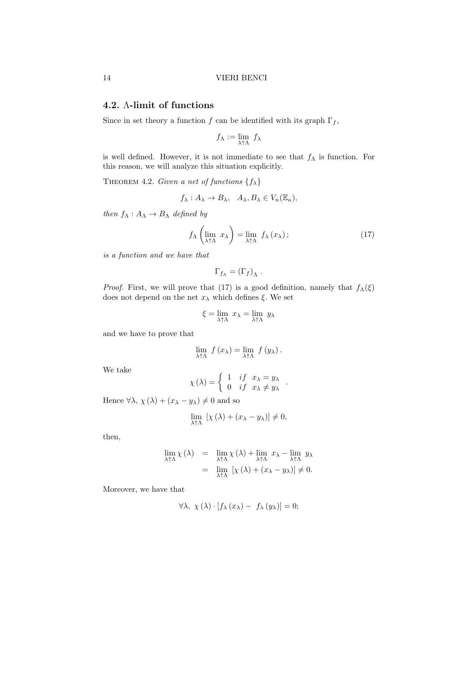# 4.2. Λ-limit of functions

Since in set theory a function f can be identified with its graph  $\Gamma_f$ ,

$$
f_{\Lambda} := \lim_{\lambda \uparrow \Lambda} f_{\lambda}
$$

is well defined. However, it is not immediate to see that  $f_{\Lambda}$  is function. For this reason, we will analyze this situation explicitly.

THEOREM 4.2. Given a net of functions  $\{f_{\lambda}\}\$ 

$$
f_{\lambda}: A_{\lambda} \to B_{\lambda}, A_{\lambda}, B_{\lambda} \in V_n(\mathbb{E}_{\kappa}),
$$

then  $f_{\Lambda}: A_{\Lambda} \to B_{\Lambda}$  defined by

$$
f_{\Lambda}\left(\lim_{\lambda\uparrow\Lambda} x_{\lambda}\right) = \lim_{\lambda\uparrow\Lambda} f_{\lambda}\left(x_{\lambda}\right); \tag{17}
$$

is a function and we have that

$$
\Gamma_{f_{\Lambda}} = (\Gamma_f)_{\Lambda} .
$$

*Proof.* First, we will prove that (17) is a good definition, namely that  $f_{\Lambda}(\xi)$ does not depend on the net  $x_{\lambda}$  which defines  $\xi$ . We set

$$
\xi = \lim_{\lambda \uparrow \Lambda} x_{\lambda} = \lim_{\lambda \uparrow \Lambda} y_{\lambda}
$$

and we have to prove that

$$
\lim_{\lambda \uparrow \Lambda} f(x_{\lambda}) = \lim_{\lambda \uparrow \Lambda} f(y_{\lambda}).
$$

We take

$$
\chi(\lambda) = \begin{cases} 1 & \text{if } x_{\lambda} = y_{\lambda} \\ 0 & \text{if } x_{\lambda} \neq y_{\lambda} \end{cases}.
$$

Hence  $\forall \lambda, \chi(\lambda) + (x_{\lambda} - y_{\lambda}) \neq 0$  and so

$$
\lim_{\lambda \uparrow \Lambda} \left[ \chi(\lambda) + (x_{\lambda} - y_{\lambda}) \right] \neq 0,
$$

then,

$$
\lim_{\lambda \uparrow \Lambda} \chi(\lambda) = \lim_{\lambda \uparrow \Lambda} \chi(\lambda) + \lim_{\lambda \uparrow \Lambda} x_{\lambda} - \lim_{\lambda \uparrow \Lambda} y_{\lambda}
$$
  
= 
$$
\lim_{\lambda \uparrow \Lambda} [\chi(\lambda) + (x_{\lambda} - y_{\lambda})] \neq 0.
$$

Moreover, we have that

$$
\forall \lambda, \ \chi(\lambda) \cdot [f_{\lambda}(x_{\lambda}) - f_{\lambda}(y_{\lambda})] = 0;
$$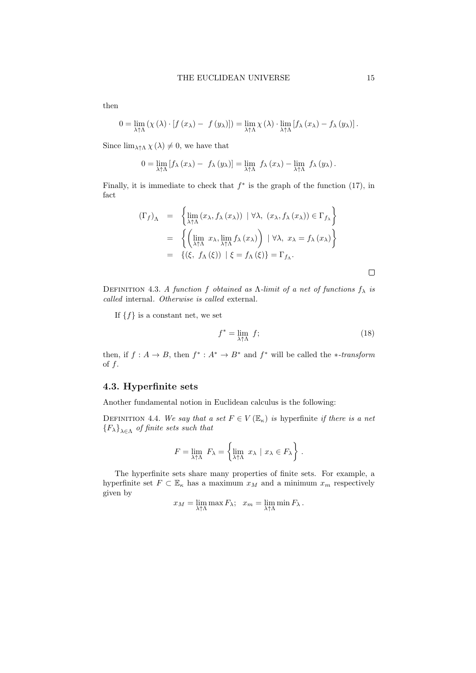$$
0 = \lim_{\lambda \uparrow \Lambda} (\chi(\lambda) \cdot [f(x_{\lambda}) - f(y_{\lambda})]) = \lim_{\lambda \uparrow \Lambda} \chi(\lambda) \cdot \lim_{\lambda \uparrow \Lambda} [f_{\lambda}(x_{\lambda}) - f_{\lambda}(y_{\lambda})].
$$

Since  $\lim_{\lambda \uparrow \Lambda} \chi(\lambda) \neq 0$ , we have that

$$
0 = \lim_{\lambda \uparrow \Lambda} \left[ f_{\lambda} (x_{\lambda}) - f_{\lambda} (y_{\lambda}) \right] = \lim_{\lambda \uparrow \Lambda} f_{\lambda} (x_{\lambda}) - \lim_{\lambda \uparrow \Lambda} f_{\lambda} (y_{\lambda}).
$$

Finally, it is immediate to check that  $f^*$  is the graph of the function (17), in fact

$$
(\Gamma_f)_{\Lambda} = \left\{ \lim_{\lambda \uparrow \Lambda} (x_{\lambda}, f_{\lambda}(x_{\lambda})) \mid \forall \lambda, (x_{\lambda}, f_{\lambda}(x_{\lambda})) \in \Gamma_{f_{\lambda}} \right\}
$$
  

$$
= \left\{ \left( \lim_{\lambda \uparrow \Lambda} x_{\lambda}, \lim_{\lambda \uparrow \Lambda} f_{\lambda}(x_{\lambda}) \right) \mid \forall \lambda, x_{\lambda} = f_{\lambda}(x_{\lambda}) \right\}
$$
  

$$
= \left\{ (\xi, f_{\Lambda}(\xi)) \mid \xi = f_{\Lambda}(\xi) \right\} = \Gamma_{f_{\Lambda}}.
$$

DEFINITION 4.3. A function f obtained as  $\Lambda$ -limit of a net of functions  $f_{\lambda}$  is called internal. Otherwise is called external.

If  $\{f\}$  is a constant net, we set

$$
f^* = \lim_{\lambda \uparrow \Lambda} f; \tag{18}
$$

then, if  $f: A \to B$ , then  $f^*: A^* \to B^*$  and  $f^*$  will be called the \*-transform of  $f$ .

# 4.3. Hyperfinite sets

Another fundamental notion in Euclidean calculus is the following:

DEFINITION 4.4. We say that a set  $F \in V(\mathbb{E}_{\kappa})$  is hyperfinite if there is a net  ${F_\lambda}_{\lambda \in \Lambda}$  of finite sets such that

$$
F = \lim_{\lambda \uparrow \Lambda} F_{\lambda} = \left\{ \lim_{\lambda \uparrow \Lambda} x_{\lambda} \mid x_{\lambda} \in F_{\lambda} \right\}.
$$

The hyperfinite sets share many properties of finite sets. For example, a hyperfinite set  $F \subset \mathbb{E}_{\kappa}$  has a maximum  $x_M$  and a minimum  $x_m$  respectively given by

$$
x_M = \lim_{\lambda \uparrow \Lambda} \max F_{\lambda}; \ \ x_m = \lim_{\lambda \uparrow \Lambda} \min F_{\lambda}.
$$

then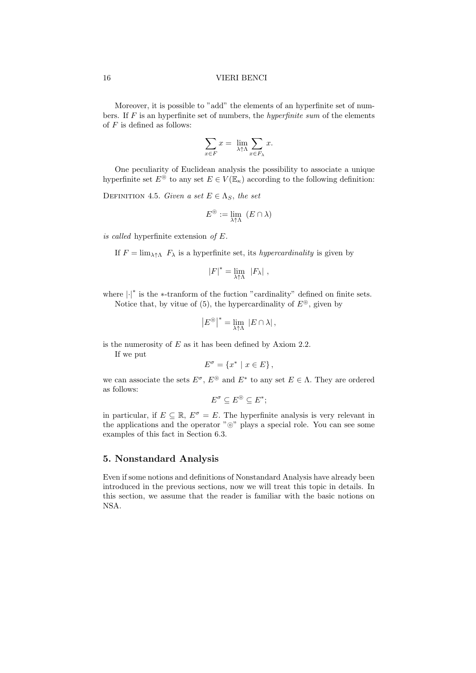Moreover, it is possible to "add" the elements of an hyperfinite set of numbers. If  $F$  is an hyperfinite set of numbers, the *hyperfinite sum* of the elements of  $F$  is defined as follows:

$$
\sum_{x \in F} x = \lim_{\lambda \uparrow \Lambda} \sum_{x \in F_{\lambda}} x.
$$

One peculiarity of Euclidean analysis the possibility to associate a unique hyperfinite set  $E^{\odot}$  to any set  $E \in V(\mathbb{E}_{\kappa})$  according to the following definition:

DEFINITION 4.5. Given a set  $E \in \Lambda_S$ , the set

$$
E^{\circledcirc} := \lim_{\lambda \uparrow \Lambda} \ (E \cap \lambda)
$$

is called hyperfinite extension of  $E$ .

If  $F = \lim_{\lambda \uparrow \Lambda} F_{\lambda}$  is a hyperfinite set, its *hypercardinality* is given by

$$
|F|^* = \lim_{\lambda \uparrow \Lambda} |F_\lambda|,
$$

where  $\left|\cdot\right|^*$  is the ∗-tranform of the fuction "cardinality" defined on finite sets. Notice that, by vitue of (5), the hypercardinality of  $E^{\odot}$ , given by

$$
\left|E^{\circledcirc}\right|^* = \lim_{\lambda \uparrow \Lambda} \, \left|E \cap \lambda\right|,
$$

is the numerosity of  $E$  as it has been defined by Axiom 2.2.

If we put

$$
E^{\sigma} = \{x^* \mid x \in E\},\
$$

we can associate the sets  $E^{\sigma}$ ,  $E^{\circledcirc}$  and  $E^*$  to any set  $E \in \Lambda$ . They are ordered as follows:

$$
E^{\sigma} \subseteq E^{\circledcirc} \subseteq E^*;
$$

in particular, if  $E \subseteq \mathbb{R}$ ,  $E^{\sigma} = E$ . The hyperfinite analysis is very relevant in the applications and the operator "⊚" plays a special role. You can see some examples of this fact in Section 6.3.

# 5. Nonstandard Analysis

Even if some notions and definitions of Nonstandard Analysis have already been introduced in the previous sections, now we will treat this topic in details. In this section, we assume that the reader is familiar with the basic notions on NSA.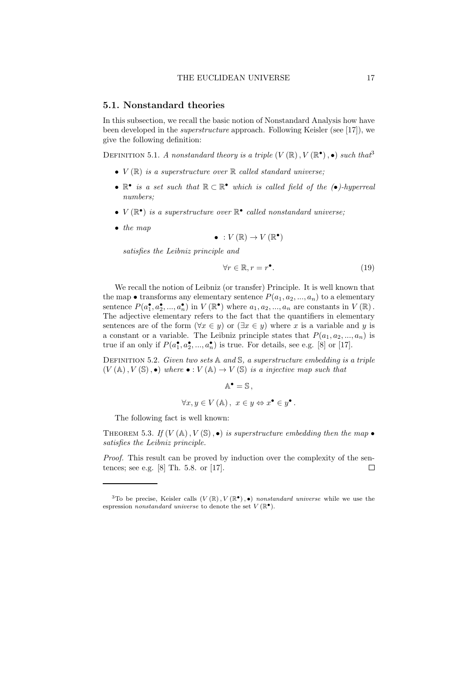# 5.1. Nonstandard theories

In this subsection, we recall the basic notion of Nonstandard Analysis how have been developed in the superstructure approach. Following Keisler (see [17]), we give the following definition:

DEFINITION 5.1. A nonstandard theory is a triple  $(V(\mathbb{R}), V(\mathbb{R}^{\bullet}), \bullet)$  such that

- $V(\mathbb{R})$  is a superstructure over  $\mathbb{R}$  called standard universe;
- $\mathbb{R}^{\bullet}$  is a set such that  $\mathbb{R} \subset \mathbb{R}^{\bullet}$  which is called field of the (•)-hyperreal numbers;
- $V(\mathbb{R}^{\bullet})$  is a superstructure over  $\mathbb{R}^{\bullet}$  called nonstandard universe;
- the map

$$
\bullet\;:V\left(\mathbb{R}\right)\to V\left(\mathbb{R}^{\bullet}\right)
$$

satisfies the Leibniz principle and

$$
\forall r \in \mathbb{R}, r = r^{\bullet}.\tag{19}
$$

We recall the notion of Leibniz (or transfer) Principle. It is well known that the map  $\bullet$  transforms any elementary sentence  $P(a_1, a_2, ..., a_n)$  to a elementary sentence  $P(a_1^{\bullet}, a_2^{\bullet}, ..., a_n^{\bullet})$  in  $V(\mathbb{R}^{\bullet})$  where  $a_1, a_2, ..., a_n$  are constants in  $V(\mathbb{R})$ . The adjective elementary refers to the fact that the quantifiers in elementary sentences are of the form  $(\forall x \in y)$  or  $(\exists x \in y)$  where x is a variable and y is a constant or a variable. The Leibniz principle states that  $P(a_1, a_2, ..., a_n)$  is true if an only if  $P(a_1^{\bullet}, a_2^{\bullet}, ..., a_n^{\bullet})$  is true. For details, see e.g. [8] or [17].

DEFINITION 5.2. Given two sets  $A$  and  $S$ , a superstructure embedding is a triple  $(V(\mathbb{A}), V(\mathbb{S}), \bullet)$  where  $\bullet : V(\mathbb{A}) \to V(\mathbb{S})$  is a injective map such that

 $\mathbb{A}^{\bullet} = \mathbb{S}$ ,

$$
\forall x, y \in V \left( A \right), \ x \in y \Leftrightarrow x^{\bullet} \in y^{\bullet}.
$$

The following fact is well known:

THEOREM 5.3. If  $(V(\mathbb{A}), V(\mathbb{S}), \bullet)$  is superstructure embedding then the map  $\bullet$ satisfies the Leibniz principle.

Proof. This result can be proved by induction over the complexity of the sentences; see e.g. [8] Th. 5.8. or [17].  $\Box$ 

<sup>&</sup>lt;sup>3</sup>To be precise, Keisler calls  $(V(\mathbb{R}), V(\mathbb{R}^{\bullet}), \bullet)$  nonstandard universe while we use the espression nonstandard universe to denote the set  $V(\mathbb{R}^{\bullet})$ .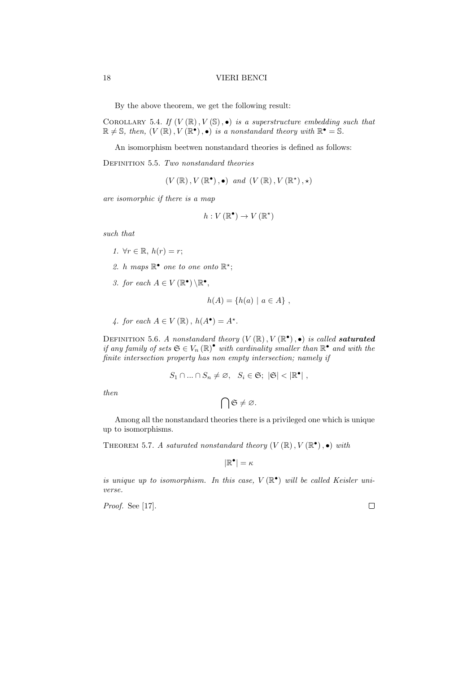By the above theorem, we get the following result:

COROLLARY 5.4. If  $(V(\mathbb{R}), V(\mathbb{S}), \bullet)$  is a superstructure embedding such that  $\mathbb{R} \neq \mathbb{S}$ , then,  $(V(\mathbb{R}), V(\mathbb{R}^{\bullet}), \bullet)$  is a nonstandard theory with  $\mathbb{R}^{\bullet} = \mathbb{S}$ .

An isomorphism beetwen nonstandard theories is defined as follows:

DEFINITION 5.5. Two nonstandard theories

 $(V(\mathbb{R}), V(\mathbb{R}^{\bullet}), \bullet)$  and  $(V(\mathbb{R}), V(\mathbb{R}^{\star}), \star)$ 

are isomorphic if there is a map

$$
h: V(\mathbb{R}^{\bullet}) \to V(\mathbb{R}^{\star})
$$

such that

- 1.  $\forall r \in \mathbb{R}, h(r) = r$ ;
- 2. h maps  $\mathbb{R}^{\bullet}$  one to one onto  $\mathbb{R}^{\star}$ ;
- 3. for each  $A \in V(\mathbb{R}^{\bullet}) \backslash \mathbb{R}^{\bullet}$ ,

$$
h(A) = \{h(a) \mid a \in A\},\,
$$

4. for each  $A \in V(\mathbb{R})$ ,  $h(A^{\bullet}) = A^{\star}$ .

DEFINITION 5.6. A nonstandard theory  $(V(\mathbb{R}), V(\mathbb{R}^{\bullet}), \bullet)$  is called **saturated** if any family of sets  $\mathfrak{S} \in V_n(\mathbb{R})^{\bullet}$  with cardinality smaller than  $\mathbb{R}^{\bullet}$  and with the finite intersection property has non empty intersection; namely if

$$
S_1 \cap \ldots \cap S_n \neq \varnothing, \quad S_i \in \mathfrak{S}; \ |\mathfrak{S}| < |\mathbb{R}^\bullet| \ ,
$$

then

$$
\bigcap\mathfrak{S}\neq\varnothing.
$$

Among all the nonstandard theories there is a privileged one which is unique up to isomorphisms.

THEOREM 5.7. A saturated nonstandard theory  $(V(\mathbb{R}), V(\mathbb{R}^{\bullet}), \bullet)$  with

$$
|\mathbb{R}^\bullet|=\kappa
$$

is unique up to isomorphism. In this case,  $V(\mathbb{R}^{\bullet})$  will be called Keisler universe.

Proof. See [17].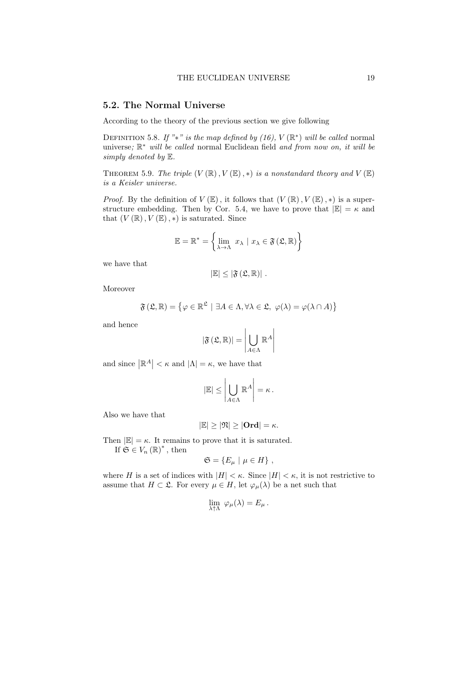# 5.2. The Normal Universe

According to the theory of the previous section we give following

DEFINITION 5.8. If "\*" is the map defined by (16),  $V(\mathbb{R}^*)$  will be called normal universe;  $\mathbb{R}^*$  will be called normal Euclidean field and from now on, it will be simply denoted by E.

THEOREM 5.9. The triple  $(V(\mathbb{R}), V(\mathbb{E}), *)$  is a nonstandard theory and  $V(\mathbb{E})$ is a Keisler universe.

*Proof.* By the definition of  $V(\mathbb{E})$ , it follows that  $(V(\mathbb{R}), V(\mathbb{E}), *)$  is a superstructure embedding. Then by Cor. 5.4, we have to prove that  $|\mathbb{E}| = \kappa$  and that  $(V(\mathbb{R}), V(\mathbb{E}), *)$  is saturated. Since

$$
\mathbb{E} = \mathbb{R}^* = \left\{ \lim_{\lambda \to \Lambda} x_{\lambda} \mid x_{\lambda} \in \mathfrak{F}(\mathfrak{L}, \mathbb{R}) \right\}
$$

we have that

$$
|\mathbb{E}|\leq |\mathfrak{F}\left(\mathfrak{L},\mathbb{R}\right)|\;.
$$

Moreover

$$
\mathfrak{F}(\mathfrak{L}, \mathbb{R}) = \{ \varphi \in \mathbb{R}^{\mathfrak{L}} \mid \exists A \in \Lambda, \forall \lambda \in \mathfrak{L}, \varphi(\lambda) = \varphi(\lambda \cap A) \}
$$

and hence

$$
\left|\mathfrak{F}\left(\mathfrak{L},\mathbb{R}\right)\right|=\left|\bigcup_{A\in\Lambda}\mathbb{R}^{A}\right|
$$

and since  $|\mathbb{R}^A| < \kappa$  and  $|\Lambda| = \kappa$ , we have that

$$
|\mathbb{E}| \leq \left| \bigcup_{A \in \Lambda} \mathbb{R}^A \right| = \kappa.
$$

 $\mathbb{R}^2$ 

 $\sim$ 

Also we have that

$$
|\mathbb{E}|\geq |\mathfrak{N}|\geq |\mathbf{Ord}|=\kappa.
$$

Then  $|\mathbb{E}| = \kappa$ . It remains to prove that it is saturated.

If  $\mathfrak{S} \in V_n(\mathbb{R})^*$ , then

$$
\mathfrak{S} = \{ E_{\mu} \mid \mu \in H \},
$$

where H is a set of indices with  $|H| < \kappa$ . Since  $|H| < \kappa$ , it is not restrictive to assume that  $H \subset \mathfrak{L}$ . For every  $\mu \in H$ , let  $\varphi_{\mu}(\lambda)$  be a net such that

$$
\lim_{\lambda\uparrow\Lambda} \ \varphi_\mu(\lambda) = E_\mu \, .
$$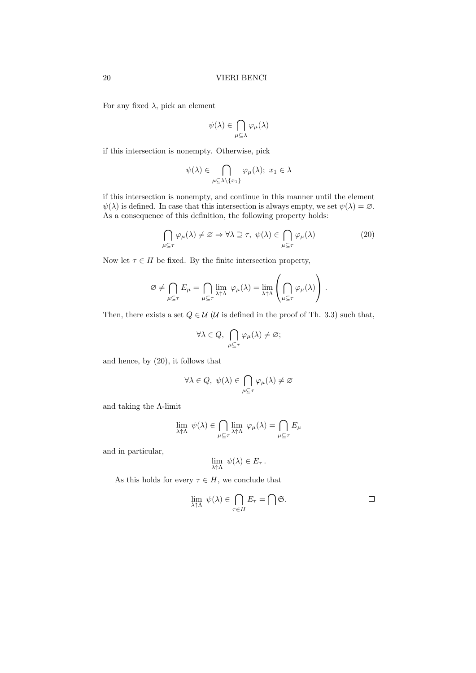For any fixed  $\lambda$ , pick an element

$$
\psi(\lambda) \in \bigcap_{\mu \subseteq \lambda} \varphi_{\mu}(\lambda)
$$

if this intersection is nonempty. Otherwise, pick

$$
\psi(\lambda) \in \bigcap_{\mu \subseteq \lambda \setminus \{x_1\}} \varphi_{\mu}(\lambda); \ x_1 \in \lambda
$$

if this intersection is nonempty, and continue in this manner until the element  $\psi(\lambda)$  is defined. In case that this intersection is always empty, we set  $\psi(\lambda) = \emptyset$ . As a consequence of this definition, the following property holds:

$$
\bigcap_{\mu \subseteq \tau} \varphi_{\mu}(\lambda) \neq \varnothing \Rightarrow \forall \lambda \supseteq \tau, \ \psi(\lambda) \in \bigcap_{\mu \subseteq \tau} \varphi_{\mu}(\lambda) \tag{20}
$$

Now let  $\tau \in H$  be fixed. By the finite intersection property,

$$
\varnothing \neq \bigcap_{\mu \subseteq \tau} E_{\mu} = \bigcap_{\mu \subseteq \tau} \lim_{\lambda \uparrow \Lambda} \varphi_{\mu}(\lambda) = \lim_{\lambda \uparrow \Lambda} \left( \bigcap_{\mu \subseteq \tau} \varphi_{\mu}(\lambda) \right).
$$

Then, there exists a set  $Q \in \mathcal{U}$  ( $\mathcal{U}$  is defined in the proof of Th. 3.3) such that,

$$
\forall \lambda \in Q, \ \bigcap_{\mu \subseteq \tau} \varphi_{\mu}(\lambda) \neq \varnothing;
$$

and hence, by (20), it follows that

$$
\forall \lambda \in Q, \ \psi(\lambda) \in \bigcap_{\mu \subseteq \tau} \varphi_{\mu}(\lambda) \neq \varnothing
$$

and taking the Λ-limit

$$
\lim_{\lambda \uparrow \Lambda} \ \psi(\lambda) \in \bigcap_{\mu \subseteq \tau} \lim_{\lambda \uparrow \Lambda} \ \varphi_{\mu}(\lambda) = \bigcap_{\mu \subseteq \tau} E_{\mu}
$$

and in particular,

$$
\lim_{\lambda \uparrow \Lambda} \ \psi(\lambda) \in E_{\tau} \ .
$$

As this holds for every  $\tau \in H$ , we conclude that

$$
\lim_{\lambda \uparrow \Lambda} \psi(\lambda) \in \bigcap_{\tau \in H} E_{\tau} = \bigcap \mathfrak{S}.
$$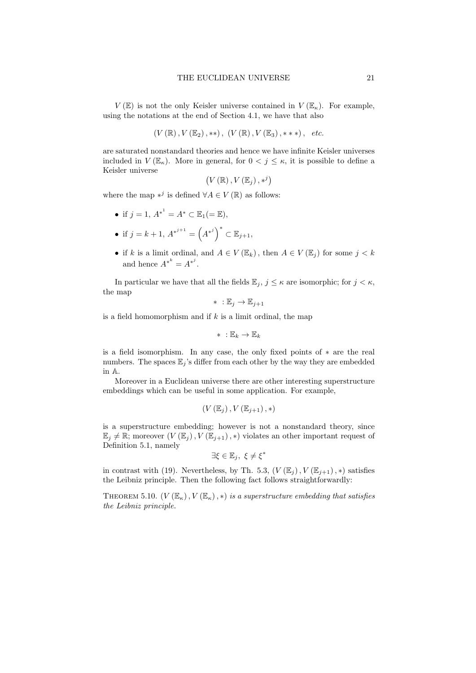$V(\mathbb{E})$  is not the only Keisler universe contained in  $V(\mathbb{E}_{\kappa})$ . For example, using the notations at the end of Section 4.1, we have that also

$$
(V(\mathbb{R}), V(\mathbb{E}_2), **), (V(\mathbb{R}), V(\mathbb{E}_3), **), etc.
$$

are saturated nonstandard theories and hence we have infinite Keisler universes included in  $V(\mathbb{E}_{\kappa})$ . More in general, for  $0 < j \leq \kappa$ , it is possible to define a Keisler universe

$$
(V(\mathbb{R}), V(\mathbb{E}_j), *^j)
$$

where the map  $*^{j}$  is defined  $\forall A \in V(\mathbb{R})$  as follows:

- if  $j = 1, A^{*^1} = A^* \subset \mathbb{E}_1 ( = \mathbb{E}),$
- if  $j = k + 1, A^{*^{j+1}} = (A^{*^j})^* \subset \mathbb{E}_{j+1},$
- if k is a limit ordinal, and  $A \in V(\mathbb{E}_k)$ , then  $A \in V(\mathbb{E}_i)$  for some  $j < k$ and hence  $A^{*^k} = A^{*^j}$ .

In particular we have that all the fields  $\mathbb{E}_j$ ,  $j \leq \kappa$  are isomorphic; for  $j < \kappa$ , the map

$$
* \; : \mathbb{E}_j \to \mathbb{E}_{j+1}
$$

is a field homomorphism and if  $k$  is a limit ordinal, the map

$$
*~: \mathbb{E}_{k} \rightarrow \mathbb{E}_{k}
$$

is a field isomorphism. In any case, the only fixed points of ∗ are the real numbers. The spaces  $\mathbb{E}_j$ 's differ from each other by the way they are embedded in A.

Moreover in a Euclidean universe there are other interesting superstructure embeddings which can be useful in some application. For example,

$$
(V(\mathbb{E}_j), V(\mathbb{E}_{j+1}), *)
$$

is a superstructure embedding; however is not a nonstandard theory, since  $\mathbb{E}_j \neq \mathbb{R}$ ; moreover  $(V(\mathbb{E}_j), V(\mathbb{E}_{j+1}), *)$  violates an other important request of Definition 5.1, namely

$$
\exists \xi \in \mathbb{E}_j, \ \xi \neq \xi^*
$$

in contrast with (19). Nevertheless, by Th. 5.3,  $(V(\mathbb{E}_i), V(\mathbb{E}_{i+1}), *)$  satisfies the Leibniz principle. Then the following fact follows straightforwardly:

THEOREM 5.10.  $(V(E_{\kappa}), V(E_{\kappa}), *)$  is a superstructure embedding that satisfies the Leibniz principle.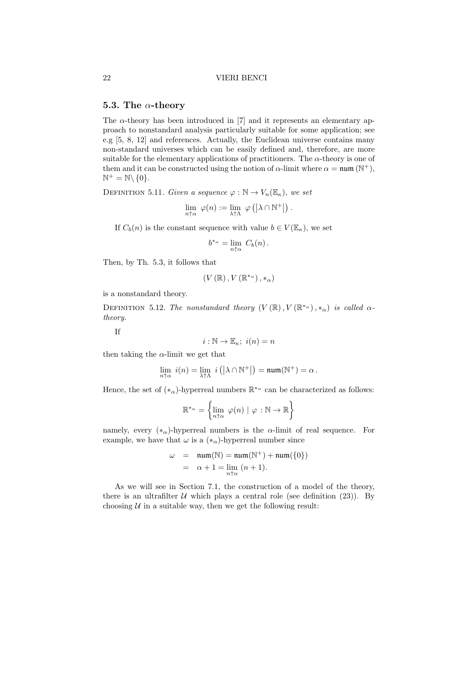# 5.3. The  $\alpha$ -theory

The  $\alpha$ -theory has been introduced in [7] and it represents an elementary approach to nonstandard analysis particularly suitable for some application; see e.g [5, 8, 12] and references. Actually, the Euclidean universe contains many non-standard universes which can be easily defined and, therefore, are more suitable for the elementary applications of practitioners. The  $\alpha$ -theory is one of them and it can be constructed using the notion of  $\alpha$ -limit where  $\alpha = \text{num}(\mathbb{N}^+),$  $\mathbb{N}^+ = \mathbb{N} \backslash \{0\}.$ 

DEFINITION 5.11. Given a sequence  $\varphi : \mathbb{N} \to V_n(\mathbb{E}_{\kappa})$ , we set

$$
\lim_{n \uparrow \alpha} \ \varphi(n) := \lim_{\lambda \uparrow \Lambda} \ \varphi \left( \left| \lambda \cap \mathbb{N}^+ \right| \right).
$$

If  $C_b(n)$  is the constant sequence with value  $b \in V(\mathbb{E}_{\kappa})$ , we set

$$
b^{*_{\alpha}} = \lim_{n \uparrow \alpha} C_b(n).
$$

Then, by Th. 5.3, it follows that

$$
\left(V\left(\mathbb{R}\right),V\left(\mathbb{R}^{*_{\alpha}}\right),\ast_{\alpha}\right)
$$

is a nonstandard theory.

DEFINITION 5.12. The nonstandard theory  $(V(\mathbb{R}), V(\mathbb{R}^{*_{\alpha}}), *_{\alpha})$  is called  $\alpha$ theory.

If

$$
i:\mathbb{N}\to\mathbb{E}_\kappa;\ i(n)=n
$$

then taking the  $\alpha$ -limit we get that

$$
\lim_{n \uparrow \alpha} i(n) = \lim_{\lambda \uparrow \Lambda} i(|\lambda \cap \mathbb{N}^+|) = \mathfrak{num}(\mathbb{N}^+) = \alpha.
$$

Hence, the set of  $(*_{\alpha})$ -hyperreal numbers  $\mathbb{R}^{*_{\alpha}}$  can be characterized as follows:

$$
\mathbb{R}^{*_{\alpha}} = \left\{ \lim_{n \uparrow \alpha} \varphi(n) \mid \varphi : \mathbb{N} \to \mathbb{R} \right\}
$$

namely, every  $(*_{\alpha})$ -hyperreal numbers is the  $\alpha$ -limit of real sequence. For example, we have that  $\omega$  is a  $(*_{\alpha})$ -hyperreal number since

$$
\omega = \text{num}(\mathbb{N}) = \text{num}(\mathbb{N}^+) + \text{num}(\{0\})
$$

$$
= \alpha + 1 = \lim_{n \uparrow \alpha} (n + 1).
$$

As we will see in Section 7.1, the construction of a model of the theory, there is an ultrafilter  $U$  which plays a central role (see definition (23)). By choosing  $U$  in a suitable way, then we get the following result: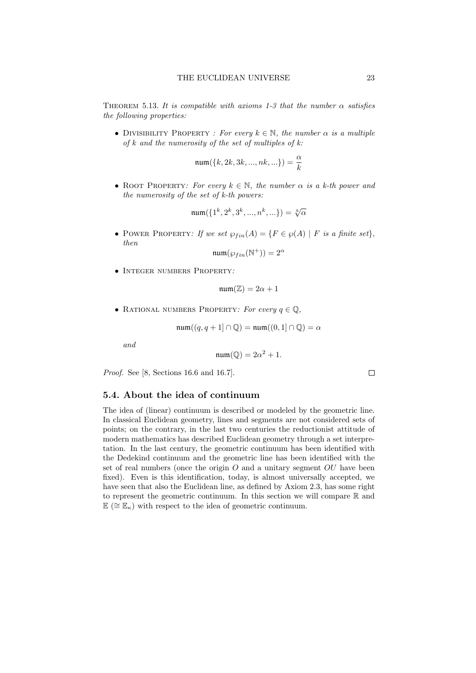THEOREM 5.13. It is compatible with axioms 1-3 that the number  $\alpha$  satisfies the following properties:

• DIVISIBILITY PROPERTY : For every  $k \in \mathbb{N}$ , the number  $\alpha$  is a multiple of k and the numerosity of the set of multiples of  $k$ :

$$
\min(\{k, 2k, 3k, ..., nk, \ldots\}) = \frac{\alpha}{k}
$$

• ROOT PROPERTY: For every  $k \in \mathbb{N}$ , the number  $\alpha$  is a k-th power and the numerosity of the set of k-th powers:

$$
\min(\{1^k, 2^k, 3^k, ..., n^k, ...\}) = \sqrt[k]{\alpha}
$$

• POWER PROPERTY: If we set  $\wp_{fin}(A) = \{F \in \wp(A) \mid F \text{ is a finite set}\},\$ then

$$
\operatorname{num}(\wp_{fin}(\mathbb{N}^+)) = 2^{\alpha}
$$

• Integer numbers Property:

$$
\mathfrak{num}(\mathbb{Z}) = 2\alpha + 1
$$

• RATIONAL NUMBERS PROPERTY: For every  $q \in \mathbb{Q}$ ,

$$
\operatorname{num}((q, q+1] \cap \mathbb{Q}) = \operatorname{num}((0, 1] \cap \mathbb{Q}) = \alpha
$$

and

$$
\mathfrak{num}(\mathbb{Q}) = 2\alpha^2 + 1.
$$

Proof. See [8, Sections 16.6 and 16.7].

### 5.4. About the idea of continuum

The idea of (linear) continuum is described or modeled by the geometric line. In classical Euclidean geometry, lines and segments are not considered sets of points; on the contrary, in the last two centuries the reductionist attitude of modern mathematics has described Euclidean geometry through a set interpretation. In the last century, the geometric continuum has been identified with the Dedekind continuum and the geometric line has been identified with the set of real numbers (once the origin  $O$  and a unitary segment  $OU$  have been fixed). Even is this identification, today, is almost universally accepted, we have seen that also the Euclidean line, as defined by Axiom 2.3, has some right to represent the geometric continuum. In this section we will compare R and  $\mathbb{E}$  ( $\cong$   $\mathbb{E}_{\kappa}$ ) with respect to the idea of geometric continuum.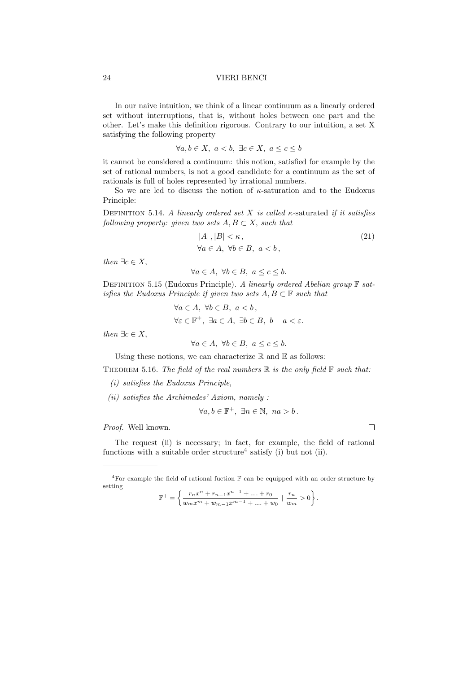In our naive intuition, we think of a linear continuum as a linearly ordered set without interruptions, that is, without holes between one part and the other. Let's make this definition rigorous. Contrary to our intuition, a set X satisfying the following property

$$
\forall a, b \in X, \ a < b, \ \exists c \in X, \ a \leq c \leq b
$$

it cannot be considered a continuum: this notion, satisfied for example by the set of rational numbers, is not a good candidate for a continuum as the set of rationals is full of holes represented by irrational numbers.

So we are led to discuss the notion of  $\kappa$ -saturation and to the Eudoxus Principle:

DEFINITION 5.14. A linearly ordered set X is called  $\kappa$ -saturated if it satisfies following property: given two sets  $A, B \subset X$ , such that

$$
|A|, |B| < \kappa,
$$
  
\n
$$
\forall a \in A, \ \forall b \in B, \ a < b,
$$
\n
$$
(21)
$$

then  $\exists c \in X$ ,

$$
\forall a \in A, \ \forall b \in B, \ a \le c \le b.
$$

DEFINITION 5.15 (Eudoxus Principle). A linearly ordered Abelian group  $\mathbb F$  satisfies the Eudoxus Principle if given two sets  $A, B \subset \mathbb{F}$  such that

> $\forall a \in A, \ \forall b \in B, \ a < b$ ,  $\forall \varepsilon \in \mathbb{F}^+, \exists a \in A, \exists b \in B, b - a < \varepsilon.$

then  $\exists c \in X$ ,

 $\forall a \in A, \ \forall b \in B, \ a \leq c \leq b.$ 

Using these notions, we can characterize  $\mathbb R$  and  $\mathbb E$  as follows:

THEOREM 5.16. The field of the real numbers  $\mathbb R$  is the only field  $\mathbb F$  such that:

- (i) satisfies the Eudoxus Principle,
- (ii) satisfies the Archimedes' Axiom, namely :

 $\forall a, b \in \mathbb{F}^+, \exists n \in \mathbb{N}, \ n a > b.$ 

Proof. Well known.

The request (ii) is necessary; in fact, for example, the field of rational functions with a suitable order structure<sup>4</sup> satisfy (i) but not (ii).

$$
\mathbb{F}^{+} = \left\{ \frac{r_n x^n + r_{n-1} x^{n-1} + \dots + r_0}{w_m x^m + w_{m-1} x^{m-1} + \dots + w_0} \mid \frac{r_n}{w_m} > 0 \right\}.
$$

<sup>&</sup>lt;sup>4</sup>For example the field of rational fuction  $\mathbb F$  can be equipped with an order structure by setting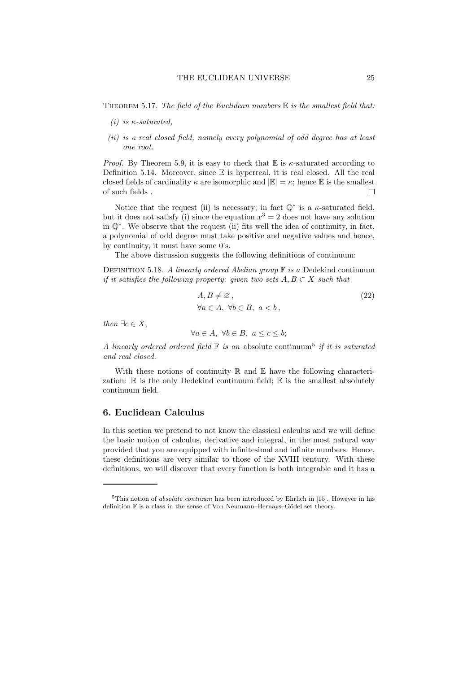THEOREM 5.17. The field of the Euclidean numbers  $E$  is the smallest field that:

- (i) is  $\kappa$ -saturated.
- (ii) is a real closed field, namely every polynomial of odd degree has at least one root.

*Proof.* By Theorem 5.9, it is easy to check that  $E$  is  $\kappa$ -saturated according to Definition 5.14. Moreover, since  $\mathbb E$  is hyperreal, it is real closed. All the real closed fields of cardinality  $\kappa$  are isomorphic and  $|\mathbb{E}| = \kappa$ ; hence  $\mathbb{E}$  is the smallest of such fields .  $\Box$ 

Notice that the request (ii) is necessary; in fact  $\mathbb{Q}^*$  is a  $\kappa$ -saturated field, but it does not satisfy (i) since the equation  $x^3 = 2$  does not have any solution in Q<sup>∗</sup> . We observe that the request (ii) fits well the idea of continuity, in fact, a polynomial of odd degree must take positive and negative values and hence, by continuity, it must have some 0's.

The above discussion suggests the following definitions of continuum:

DEFINITION 5.18. A linearly ordered Abelian group  $\mathbb F$  is a Dedekind continuum if it satisfies the following property: given two sets  $A, B \subset X$  such that

$$
A, B \neq \emptyset,
$$
  
\n
$$
\forall a \in A, \ \forall b \in B, \ a < b,
$$
\n
$$
(22)
$$

then  $\exists c \in X$ ,

$$
\forall a \in A, \ \forall b \in B, \ a \le c \le b;
$$

A linearly ordered ordered field  $\mathbb F$  is an absolute continuum<sup>5</sup> if it is saturated and real closed.

With these notions of continuity  $\mathbb R$  and  $\mathbb E$  have the following characterization:  $\mathbb R$  is the only Dedekind continuum field;  $\mathbb E$  is the smallest absolutely continuum field.

# 6. Euclidean Calculus

In this section we pretend to not know the classical calculus and we will define the basic notion of calculus, derivative and integral, in the most natural way provided that you are equipped with infinitesimal and infinite numbers. Hence, these definitions are very similar to those of the XVIII century. With these definitions, we will discover that every function is both integrable and it has a

<sup>&</sup>lt;sup>5</sup>This notion of *absolute contiuum* has been introduced by Ehrlich in [15]. However in his definition  $\mathbb F$  is a class in the sense of Von Neumann–Bernays–Gödel set theory.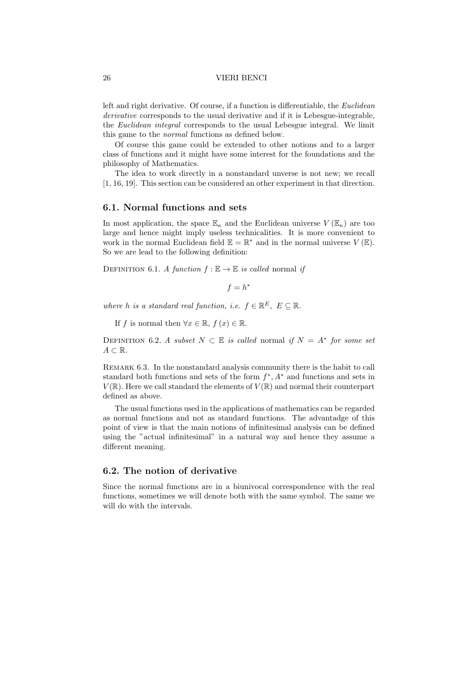left and right derivative. Of course, if a function is differentiable, the Euclidean derivative corresponds to the usual derivative and if it is Lebesgue-integrable, the Euclidean integral corresponds to the usual Lebesgue integral. We limit this game to the normal functions as defined below.

Of course this game could be extended to other notions and to a larger class of functions and it might have some interest for the foundations and the philosophy of Mathematics.

The idea to work directly in a nonstandard unverse is not new; we recall [1, 16, 19]. This section can be considered an other experiment in that direction.

# 6.1. Normal functions and sets

In most application, the space  $\mathbb{E}_{\kappa}$  and the Euclidean universe  $V(\mathbb{E}_{\kappa})$  are too large and hence might imply useless technicalities. It is more convenient to work in the normal Euclidean field  $\mathbb{E} = \mathbb{R}^*$  and in the normal universe  $V(\mathbb{E})$ . So we are lead to the following definition:

DEFINITION 6.1. A function  $f : \mathbb{E} \to \mathbb{E}$  is called normal if

 $f = h^*$ 

where h is a standard real function, i.e.  $f \in \mathbb{R}^E$ ,  $E \subseteq \mathbb{R}$ .

If f is normal then  $\forall x \in \mathbb{R}$ ,  $f(x) \in \mathbb{R}$ .

DEFINITION 6.2. A subset  $N \subset \mathbb{E}$  is called normal if  $N = A^*$  for some set  $A \subset \mathbb{R}$ .

REMARK 6.3. In the nonstandard analysis community there is the habit to call standard both functions and sets of the form  $f^*$ ,  $A^*$  and functions and sets in  $V(\mathbb{R})$ . Here we call standard the elements of  $V(\mathbb{R})$  and normal their counterpart defined as above.

The usual functions used in the applications of mathematics can be regarded as normal functions and not as standard functions. The advantadge of this point of view is that the main notions of infinitesimal analysis can be defined using the "actual infinitesimal" in a natural way and hence they assume a different meaning.

# 6.2. The notion of derivative

Since the normal functions are in a biunivocal correspondence with the real functions, sometimes we will denote both with the same symbol. The same we will do with the intervals.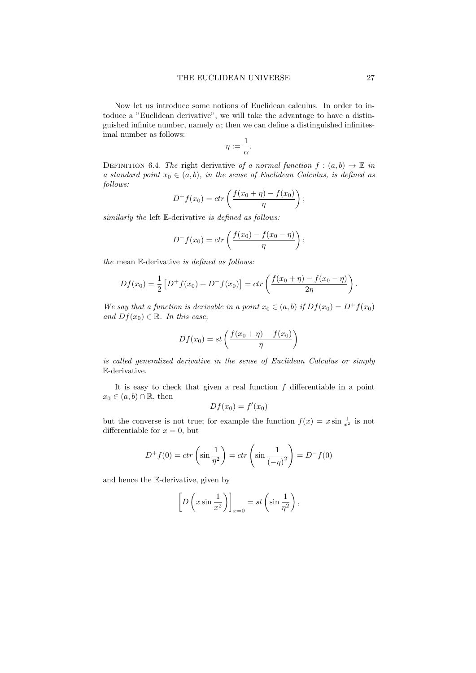Now let us introduce some notions of Euclidean calculus. In order to intoduce a "Euclidean derivative", we will take the advantage to have a distinguished infinite number, namely  $\alpha$ ; then we can define a distinguished infinitesimal number as follows:

$$
\eta:=\frac{1}{\alpha}.
$$

DEFINITION 6.4. The right derivative of a normal function  $f : (a, b) \to \mathbb{E}$  in a standard point  $x_0 \in (a, b)$ , in the sense of Euclidean Calculus, is defined as follows:

$$
D^{+} f(x_0) = c \operatorname{tr} \left( \frac{f(x_0 + \eta) - f(x_0)}{\eta} \right);
$$

similarly the left E-derivative is defined as follows:

$$
D^{-} f(x_0) = c \operatorname{tr} \left( \frac{f(x_0) - f(x_0 - \eta)}{\eta} \right);
$$

the mean E-derivative is defined as follows:

$$
Df(x_0) = \frac{1}{2} [D^+ f(x_0) + D^- f(x_0)] = \text{ctr}\left(\frac{f(x_0 + \eta) - f(x_0 - \eta)}{2\eta}\right).
$$

We say that a function is derivable in a point  $x_0 \in (a, b)$  if  $Df(x_0) = D^+f(x_0)$ and  $Df(x_0) \in \mathbb{R}$ . In this case,

$$
Df(x_0) = st\left(\frac{f(x_0 + \eta) - f(x_0)}{\eta}\right)
$$

is called generalized derivative in the sense of Euclidean Calculus or simply E-derivative.

It is easy to check that given a real function  $f$  differentiable in a point  $x_0 \in (a, b) \cap \mathbb{R}$ , then

$$
Df(x_0) = f'(x_0)
$$

but the converse is not true; for example the function  $f(x) = x \sin \frac{1}{x^2}$  is not differentiable for  $x = 0$ , but

$$
D^{+} f(0) = \operatorname{ctr}\left(\sin\frac{1}{\eta^2}\right) = \operatorname{ctr}\left(\sin\frac{1}{(-\eta)^2}\right) = D^{-} f(0)
$$

and hence the E-derivative, given by

$$
\[D\left(x\sin\frac{1}{x^2}\right)\]_{x=0} = st\left(\sin\frac{1}{\eta^2}\right),\]
$$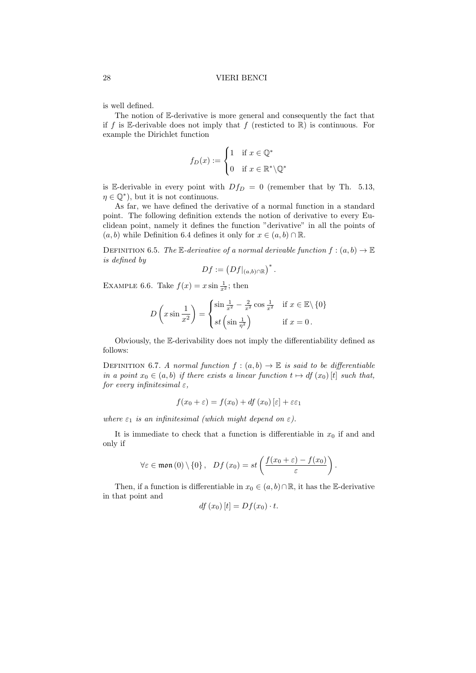is well defined.

The notion of E-derivative is more general and consequently the fact that if f is E-derivable does not imply that f (resticted to  $\mathbb{R}$ ) is continuous. For example the Dirichlet function

$$
f_D(x) := \begin{cases} 1 & \text{if } x \in \mathbb{Q}^* \\ 0 & \text{if } x \in \mathbb{R}^* \backslash \mathbb{Q}^* \end{cases}
$$

is E-derivable in every point with  $Df_D = 0$  (remember that by Th. 5.13,  $\eta \in \mathbb{Q}^*$ , but it is not continuous.

As far, we have defined the derivative of a normal function in a standard point. The following definition extends the notion of derivative to every Euclidean point, namely it defines the function "derivative" in all the points of  $(a, b)$  while Definition 6.4 defines it only for  $x \in (a, b) \cap \mathbb{R}$ .

DEFINITION 6.5. The E-derivative of a normal derivable function  $f:(a,b)\to\mathbb{E}$ is defined by

$$
Df := \left(Df|_{(a,b)\cap\mathbb{R}}\right)^*.
$$

EXAMPLE 6.6. Take  $f(x) = x \sin \frac{1}{x^2}$ ; then

$$
D\left(x\sin\frac{1}{x^2}\right) = \begin{cases} \sin\frac{1}{x^2} - \frac{2}{x^2}\cos\frac{1}{x^2} & \text{if } x \in \mathbb{E}\setminus\{0\} \\ st\left(\sin\frac{1}{\eta^2}\right) & \text{if } x = 0 \,. \end{cases}
$$

Obviously, the E-derivability does not imply the differentiability defined as follows:

DEFINITION 6.7. A normal function  $f:(a,b)\to \mathbb{E}$  is said to be differentiable in a point  $x_0 \in (a, b)$  if there exists a linear function  $t \mapsto df(x_0) [t]$  such that, for every infinitesimal  $\varepsilon$ ,

$$
f(x_0 + \varepsilon) = f(x_0) + df(x_0) [\varepsilon] + \varepsilon \varepsilon_1
$$

where  $\varepsilon_1$  is an infinitesimal (which might depend on  $\varepsilon$ ).

It is immediate to check that a function is differentiable in  $x_0$  if and and only if

$$
\forall \varepsilon \in \text{mon}(0) \setminus \{0\}, \quad Df(x_0) = st\left(\frac{f(x_0 + \varepsilon) - f(x_0)}{\varepsilon}\right).
$$

Then, if a function is differentiable in  $x_0 \in (a, b) \cap \mathbb{R}$ , it has the E-derivative in that point and

$$
df(x_0)[t] = Df(x_0) \cdot t.
$$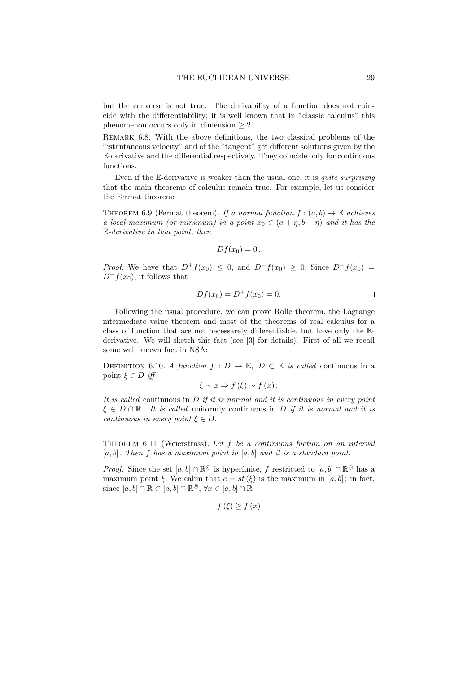but the converse is not true. The derivability of a function does not coincide with the differentiability; it is well known that in "classic calculus" this phenomenon occurs only in dimension  $\geq 2$ .

Remark 6.8. With the above definitions, the two classical problems of the "istantaneous velocity" and of the "tangent" get different solutions given by the E-derivative and the differential respectively. They coincide only for continuous functions.

Even if the  $E$ -derivative is weaker than the usual one, it is *quite surprising* that the main theorems of calculus remain true. For example, let us consider the Fermat theorem:

THEOREM 6.9 (Fermat theorem). If a normal function  $f:(a,b)\to\mathbb{E}$  achieves a local maximum (or minimum) in a point  $x_0 \in (a + \eta, b - \eta)$  and it has the E-derivative in that point, then

$$
Df(x_0)=0.
$$

*Proof.* We have that  $D^+f(x_0) \leq 0$ , and  $D^-f(x_0) \geq 0$ . Since  $D^+f(x_0) =$  $D^-f(x_0)$ , it follows that

$$
Df(x_0) = D^+f(x_0) = 0.
$$

Following the usual procedure, we can prove Rolle theorem, the Lagrange intermediate value theorem and most of the theorems of real calculus for a class of function that are not necessarely differentiable, but have only the Ederivative. We will sketch this fact (see [3] for details). First of all we recall some well known fact in NSA:

DEFINITION 6.10. A function  $f: D \to \mathbb{E}$ ,  $D \subset \mathbb{E}$  is called continuous in a point  $\xi \in D$  iff

$$
\xi \sim x \Rightarrow f(\xi) \sim f(x);
$$

It is called continuous in  $D$  if it is normal and it is continuous in every point  $\xi \in D \cap \mathbb{R}$ . It is called uniformly continuous in D if it is normal and it is continuous in every point  $\xi \in D$ .

Theorem 6.11 (Weierstrass). Let f be a continuous fuction on an interval  $[a, b]$ . Then f has a maximum point in  $[a, b]$  and it is a standard point.

*Proof.* Since the set  $[a, b] \cap \mathbb{R}^{\circledcirc}$  is hyperfinite, f restricted to  $[a, b] \cap \mathbb{R}^{\circledcirc}$  has a maximum point ξ. We calim that  $c = st(\xi)$  is the maximum in [a, b]; in fact, since  $[a, b] \cap \mathbb{R} \subset [a, b] \cap \mathbb{R}^{\circledcirc}, \forall x \in [a, b] \cap \mathbb{R}$ 

$$
f\left(\xi\right) \ge f\left(x\right)
$$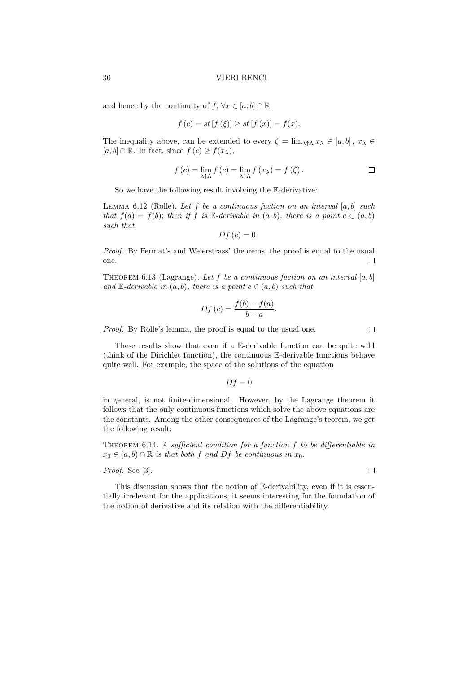and hence by the continuity of  $f, \forall x \in [a, b] \cap \mathbb{R}$ 

$$
f(c) = st [f(\xi)] \ge st [f(x)] = f(x).
$$

The inequality above, can be extended to every  $\zeta = \lim_{\lambda \uparrow \Lambda} x_{\lambda} \in [a, b]$ ,  $x_{\lambda} \in$  $[a, b] \cap \mathbb{R}$ . In fact, since  $f(c) \geq f(x_\lambda)$ ,

$$
f(c) = \lim_{\lambda \uparrow \Lambda} f(c) = \lim_{\lambda \uparrow \Lambda} f(x_{\lambda}) = f(\zeta).
$$

So we have the following result involving the E-derivative:

LEMMA 6.12 (Rolle). Let f be a continuous fuction on an interval  $[a, b]$  such that  $f(a) = f(b)$ ; then if f is E-derivable in  $(a, b)$ , there is a point  $c \in (a, b)$ such that

$$
Df\left( c\right) =0
$$

Proof. By Fermat's and Weierstrass' theorems, the proof is equal to the usual one.  $\Box$ 

THEOREM 6.13 (Lagrange). Let f be a continuous fuction on an interval  $[a, b]$ and  $\mathbb{E}\text{-}derivable in (a, b), there is a point  $c \in (a, b)$  such that$ 

$$
Df(c) = \frac{f(b) - f(a)}{b - a}.
$$

Proof. By Rolle's lemma, the proof is equal to the usual one.

These results show that even if a E-derivable function can be quite wild (think of the Dirichlet function), the continuous E-derivable functions behave quite well. For example, the space of the solutions of the equation

$$
Df = 0
$$

in general, is not finite-dimensional. However, by the Lagrange theorem it follows that the only continuous functions which solve the above equations are the constants. Among the other consequences of the Lagrange's teorem, we get the following result:

THEOREM 6.14. A sufficient condition for a function  $f$  to be differentiable in  $x_0 \in (a, b) \cap \mathbb{R}$  is that both f and Df be continuous in  $x_0$ .

Proof. See [3].

This discussion shows that the notion of E-derivability, even if it is essentially irrelevant for the applications, it seems interesting for the foundation of the notion of derivative and its relation with the differentiability.

 $\Box$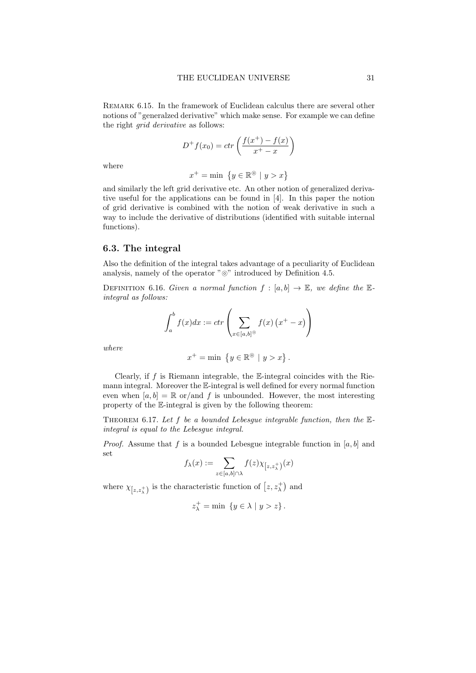Remark 6.15. In the framework of Euclidean calculus there are several other notions of "generalzed derivative" which make sense. For example we can define the right grid derivative as follows:

$$
D^{+} f(x_0) = c \operatorname{tr} \left( \frac{f(x^{+}) - f(x)}{x^{+} - x} \right)
$$

where

$$
x^+ = \min \{ y \in \mathbb{R}^\circ \mid y > x \}
$$

and similarly the left grid derivative etc. An other notion of generalized derivative useful for the applications can be found in [4]. In this paper the notion of grid derivative is combined with the notion of weak derivative in such a way to include the derivative of distributions (identified with suitable internal functions).

# 6.3. The integral

Also the definition of the integral takes advantage of a peculiarity of Euclidean analysis, namely of the operator "⊚" introduced by Definition 4.5.

DEFINITION 6.16. Given a normal function  $f : [a, b] \rightarrow \mathbb{E}$ , we define the  $\mathbb{E}$ integral as follows:

$$
\int_{a}^{b} f(x)dx := \operatorname{ctr}\left(\sum_{x \in [a,b]^{\circledcirc}} f(x) \left(x^{+} - x\right)\right)
$$

where

$$
x^+ = \min \{ y \in \mathbb{R}^\circ \mid y > x \}.
$$

Clearly, if  $f$  is Riemann integrable, the E-integral coincides with the Riemann integral. Moreover the E-integral is well defined for every normal function even when  $[a, b] = \mathbb{R}$  or/and f is unbounded. However, the most interesting property of the E-integral is given by the following theorem:

THEOREM 6.17. Let  $f$  be a bounded Lebesgue integrable function, then the  $E$ integral is equal to the Lebesgue integral.

*Proof.* Assume that f is a bounded Lebesgue integrable function in  $[a, b]$  and set

$$
f_{\lambda}(x):=\sum_{z\in[a,b]\cap\lambda}f(z)\chi_{\left[z,z_{\lambda}^{+}\right)}(x)
$$

where  $\chi_{[z,z_\lambda^+)}$  is the characteristic function of  $[z,z_\lambda^+]$  and

$$
z_{\lambda}^{+} = \min \{ y \in \lambda \mid y > z \}.
$$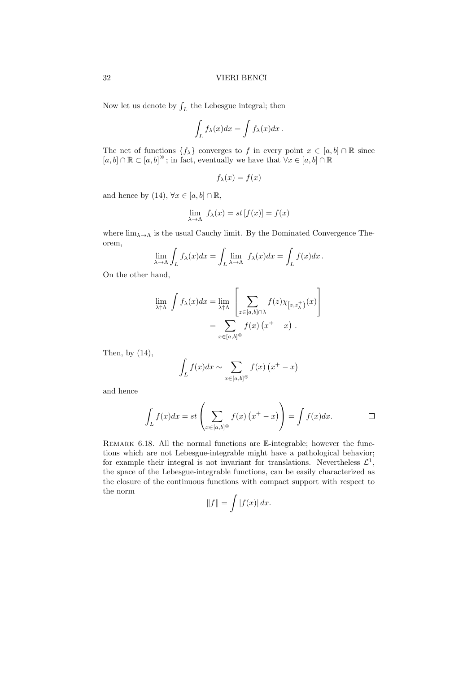Now let us denote by  $\int_L$  the Lebesgue integral; then

$$
\int_L f_\lambda(x)dx = \int f_\lambda(x)dx.
$$

The net of functions  $\{f_{\lambda}\}\$ converges to f in every point  $x \in [a, b] \cap \mathbb{R}$  since  $[a, b] \cap \mathbb{R} \subset [a, b]^\circ$ ; in fact, eventually we have that  $\forall x \in [a, b] \cap \mathbb{R}$ 

$$
f_{\lambda}(x) = f(x)
$$

and hence by (14),  $\forall x \in [a, b] \cap \mathbb{R}$ ,

$$
\lim_{\lambda \to \Lambda} f_{\lambda}(x) = st [f(x)] = f(x)
$$

where  $\lim_{\lambda\to\Lambda}$  is the usual Cauchy limit. By the Dominated Convergence Theorem,

$$
\lim_{\lambda \to \Lambda} \int_{L} f_{\lambda}(x) dx = \int_{L} \lim_{\lambda \to \Lambda} f_{\lambda}(x) dx = \int_{L} f(x) dx.
$$

On the other hand,

$$
\lim_{\lambda \uparrow \Lambda} \int f_{\lambda}(x) dx = \lim_{\lambda \uparrow \Lambda} \left[ \sum_{z \in [a,b] \cap \lambda} f(z) \chi_{\left[z,z_{\lambda}^{+}\right)}(x) \right]
$$

$$
= \sum_{x \in [a,b] \circledcirc} f(x) \left( x^{+} - x \right) .
$$

Then, by (14),

$$
\int_L f(x)dx \sim \sum_{x \in [a,b]^{\circledcirc}} f(x) (x^+ - x)
$$

and hence

$$
\int_{L} f(x)dx = st\left(\sum_{x \in [a,b]^{\circ}} f(x) (x^{+} - x)\right) = \int f(x)dx.
$$

REMARK 6.18. All the normal functions are  $\mathbb{E}\text{-integrable}$ ; however the functions which are not Lebesgue-integrable might have a pathological behavior; for example their integral is not invariant for translations. Nevertheless  $\mathcal{L}^1$ , the space of the Lebesgue-integrable functions, can be easily characterized as the closure of the continuous functions with compact support with respect to the norm

$$
||f|| = \int |f(x)| dx.
$$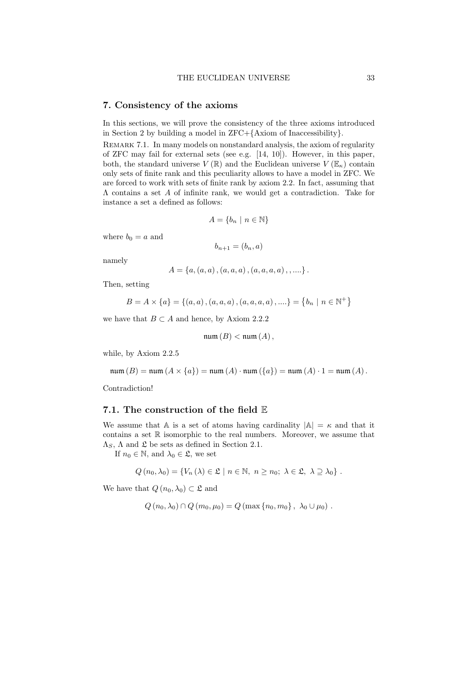# 7. Consistency of the axioms

In this sections, we will prove the consistency of the three axioms introduced in Section 2 by building a model in ZFC+{Axiom of Inaccessibility}.

Remark 7.1. In many models on nonstandard analysis, the axiom of regularity of ZFC may fail for external sets (see e.g.  $[14, 10]$ ). However, in this paper, both, the standard universe  $V(\mathbb{R})$  and the Euclidean universe  $V(\mathbb{E}_{\kappa})$  contain only sets of finite rank and this peculiarity allows to have a model in ZFC. We are forced to work with sets of finite rank by axiom 2.2. In fact, assuming that Λ contains a set A of infinite rank, we would get a contradiction. Take for instance a set a defined as follows:

$$
A = \{b_n \mid n \in \mathbb{N}\}
$$

where  $b_0 = a$  and

$$
b_{n+1} = (b_n, a)
$$

namely

$$
A = \{a, (a, a), (a, a, a), (a, a, a, a), \ldots\}.
$$

Then, setting

$$
B = A \times \{a\} = \{(a, a), (a, a, a), (a, a, a, a), \dots\} = \{b_n \mid n \in \mathbb{N}^+\}
$$

we have that  $B \subset A$  and hence, by Axiom 2.2.2

$$
\mathfrak{num}\left(B\right) < \mathfrak{num}\left(A\right),
$$

while, by Axiom 2.2.5

num (B) = num (A × {a}) = num (A) · num ({a}) = num (A) · 1 = num (A).

Contradiction!

# 7.1. The construction of the field E

We assume that A is a set of atoms having cardinality  $|A| = \kappa$  and that it contains a set  $\mathbb R$  isomorphic to the real numbers. Moreover, we assume that  $\Lambda_S$ ,  $\Lambda$  and  $\mathfrak L$  be sets as defined in Section 2.1.

If  $n_0 \in \mathbb{N}$ , and  $\lambda_0 \in \mathfrak{L}$ , we set

$$
Q(n_0, \lambda_0) = \{V_n(\lambda) \in \mathfrak{L} \mid n \in \mathbb{N}, n \ge n_0; \lambda \in \mathfrak{L}, \lambda \supseteq \lambda_0\}.
$$

We have that  $Q(n_0, \lambda_0) \subset \mathfrak{L}$  and

$$
Q(n_0, \lambda_0) \cap Q(m_0, \mu_0) = Q(\max\{n_0, m_0\}, \ \lambda_0 \cup \mu_0).
$$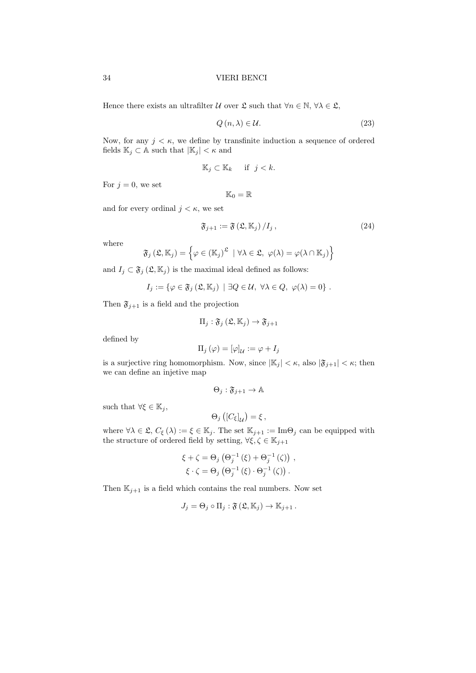Hence there exists an ultrafilter U over  $\mathfrak{L}$  such that  $\forall n \in \mathbb{N}, \forall \lambda \in \mathfrak{L},$ 

$$
Q(n,\lambda) \in \mathcal{U}.\tag{23}
$$

Now, for any  $j < \kappa$ , we define by transfinite induction a sequence of ordered fields  $\mathbb{K}_j \subset \mathbb{A}$  such that  $|\mathbb{K}_j| < \kappa$  and

$$
\mathbb{K}_j \subset \mathbb{K}_k \quad \text{if } j < k.
$$

For  $j = 0$ , we set

$$
\mathbb{K}_0=\mathbb{R}
$$

and for every ordinal  $j < \kappa$ , we set

$$
\mathfrak{F}_{j+1} := \mathfrak{F}\left(\mathfrak{L}, \mathbb{K}_j\right) / I_j \,,\tag{24}
$$

where

$$
\mathfrak{F}_j(\mathfrak{L}, \mathbb{K}_j) = \left\{ \varphi \in (\mathbb{K}_j)^{\mathfrak{L}} \mid \forall \lambda \in \mathfrak{L}, \ \varphi(\lambda) = \varphi(\lambda \cap \mathbb{K}_j) \right\}
$$

and  $I_j \subset \mathfrak{F}_j(\mathfrak{L}, \mathbb{K}_j)$  is the maximal ideal defined as follows:

$$
I_j := \{ \varphi \in \mathfrak{F}_j \left( \mathfrak{L}, \mathbb{K}_j \right) \mid \exists Q \in \mathcal{U}, \ \forall \lambda \in Q, \ \varphi(\lambda) = 0 \} .
$$

Then  $\mathfrak{F}_{j+1}$  is a field and the projection

$$
\Pi_j: \mathfrak{F}_j\left(\mathfrak{L}, \mathbb{K}_j\right) \to \mathfrak{F}_{j+1}
$$

defined by

$$
\Pi_j(\varphi)=[\varphi]_{\mathcal{U}}:=\varphi+I_j
$$

is a surjective ring homomorphism. Now, since  $|\mathbb{K}_j| < \kappa$ , also  $|\mathfrak{F}_{j+1}| < \kappa$ ; then we can define an injetive map

$$
\Theta_j: \mathfrak{F}_{j+1} \to \mathbb{A}
$$

such that  $\forall \xi \in \mathbb{K}_i$ ,

$$
\Theta_j\left(\left[C_{\xi}\right]_{\mathcal{U}}\right)=\xi\,,
$$

where  $\forall \lambda \in \mathfrak{L}, C_{\xi}(\lambda) := \xi \in \mathbb{K}_{j}$ . The set  $\mathbb{K}_{j+1} := \text{Im}\Theta_{j}$  can be equipped with the structure of ordered field by setting,  $\forall \xi, \zeta \in \mathbb{K}_{j+1}$ 

$$
\xi + \zeta = \Theta_j \left( \Theta_j^{-1} \left( \xi \right) + \Theta_j^{-1} \left( \zeta \right) \right) ,
$$
  

$$
\xi \cdot \zeta = \Theta_j \left( \Theta_j^{-1} \left( \xi \right) \cdot \Theta_j^{-1} \left( \zeta \right) \right) .
$$

Then  $\mathbb{K}_{j+1}$  is a field which contains the real numbers. Now set

$$
J_j = \Theta_j \circ \Pi_j : \mathfrak{F}(\mathfrak{L}, \mathbb{K}_j) \to \mathbb{K}_{j+1}.
$$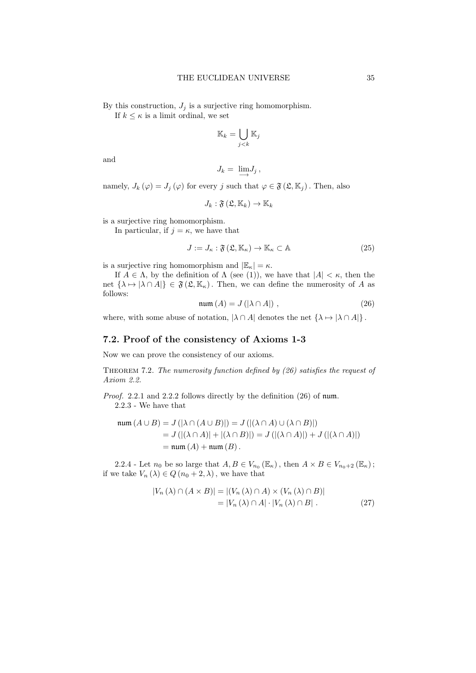By this construction,  $J_j$  is a surjective ring homomorphism.

If  $k \leq \kappa$  is a limit ordinal, we set

$$
\mathbb{K}_k = \bigcup_{j < k} \mathbb{K}_j
$$

and

$$
J_k = \lim_{\longrightarrow} J_j,
$$

namely,  $J_k(\varphi) = J_j(\varphi)$  for every j such that  $\varphi \in \mathfrak{F}(\mathfrak{L}, \mathbb{K}_j)$ . Then, also

$$
J_k: \mathfrak{F}\left(\mathfrak{L}, \mathbb{K}_k\right) \rightarrow \mathbb{K}_k
$$

is a surjective ring homomorphism.

In particular, if  $j = \kappa$ , we have that

$$
J := J_{\kappa} : \mathfrak{F}(\mathfrak{L}, \mathbb{K}_{\kappa}) \to \mathbb{K}_{\kappa} \subset \mathbb{A}
$$
 (25)

is a surjective ring homomorphism and  $|\mathbb{E}_{\kappa}| = \kappa$ .

If  $A \in \Lambda$ , by the definition of  $\Lambda$  (see (1)), we have that  $|A| < \kappa$ , then the net  $\{\lambda \mapsto |\lambda \cap A|\} \in \mathfrak{F}(\mathfrak{L}, \mathbb{K}_{\kappa})$ . Then, we can define the numerosity of A as follows:

$$
num(A) = J(|\lambda \cap A|) , \qquad (26)
$$

where, with some abuse of notation,  $|\lambda \cap A|$  denotes the net  $\{\lambda \mapsto |\lambda \cap A|\}$ .

# 7.2. Proof of the consistency of Axioms 1-3

Now we can prove the consistency of our axioms.

THEOREM 7.2. The numerosity function defined by (26) satisfies the request of Axiom 2.2.

Proof. 2.2.1 and 2.2.2 follows directly by the definition (26) of num. 2.2.3 - We have that

$$
\text{num}(A \cup B) = J(|\lambda \cap (A \cup B)|) = J(|(\lambda \cap A) \cup (\lambda \cap B)|)
$$
  
= J(|(\lambda \cap A)| + |(\lambda \cap B)|) = J(|(\lambda \cap A)|) + J(|(\lambda \cap A)|)  
= \text{num}(A) + \text{num}(B).

2.2.4 - Let  $n_0$  be so large that  $A, B \in V_{n_0}(\mathbb{E}_{\kappa})$ , then  $A \times B \in V_{n_0+2}(\mathbb{E}_{\kappa})$ ; if we take  $V_n(\lambda) \in Q(n_0 + 2, \lambda)$ , we have that

$$
|V_n(\lambda) \cap (A \times B)| = |(V_n(\lambda) \cap A) \times (V_n(\lambda) \cap B)|
$$
  
= |V\_n(\lambda) \cap A| \cdot |V\_n(\lambda) \cap B|. (27)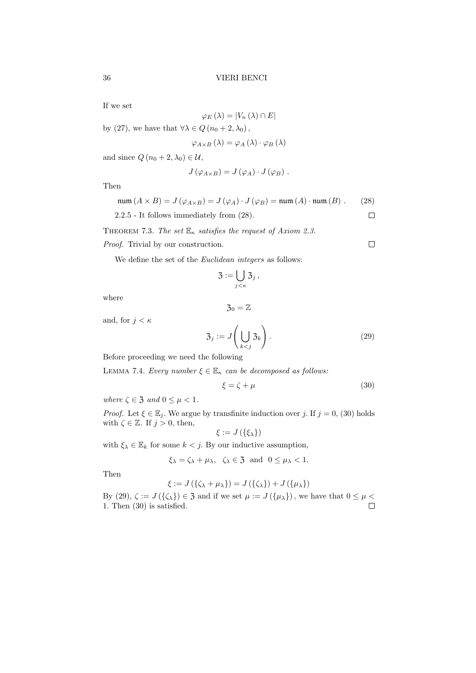If we set

$$
\varphi_{E}\left(\lambda\right)=\left|V_{n}\left(\lambda\right)\cap E\right|
$$

by (27), we have that  $\forall \lambda \in Q \left( n_0 + 2, \lambda_0 \right)$ ,

$$
\varphi_{A\times B}(\lambda) = \varphi_A(\lambda) \cdot \varphi_B(\lambda)
$$

and since  $Q(n_0 + 2, \lambda_0) \in \mathcal{U}$ ,

$$
J(\varphi_{A\times B})=J(\varphi_A)\cdot J(\varphi_B).
$$

Then

$$
num (A \times B) = J (\varphi_{A \times B}) = J (\varphi_A) \cdot J (\varphi_B) = num (A) \cdot num (B) . \qquad (28)
$$
  
2.2.5 - It follows immediately from (28).

2.2.5 - It follows immediately from (28).

THEOREM 7.3. The set  $\mathbb{E}_{\kappa}$  satisfies the request of Axiom 2.3.

Proof. Trivial by our construction.

We define the set of the *Euclidean integers* as follows:

$$
\mathfrak{Z}:=\bigcup_{j<\kappa}\mathfrak{Z}_j\,,
$$

 $\mathfrak{Z}_0 = \mathbb{Z}$ 

where

and, for  $j < \kappa$ 

$$
\mathfrak{Z}_j := J\left(\bigcup_{k < j} \mathfrak{Z}_k\right). \tag{29}
$$

Before proceeding we need the following

LEMMA 7.4. Every number  $\xi \in \mathbb{E}_{\kappa}$  can be decomposed as follows:

$$
\xi = \zeta + \mu \tag{30}
$$

where  $\zeta \in \mathfrak{Z}$  and  $0 \leq \mu \leq 1$ .

*Proof.* Let  $\xi \in \mathbb{E}_j$ . We argue by transfinite induction over j. If  $j = 0$ , (30) holds with  $\zeta \in \mathbb{Z}$ . If  $j > 0$ , then,

$$
\xi := J\left(\{\xi_{\lambda}\}\right)
$$

with  $\xi_{\lambda} \in \mathbb{E}_k$  for some  $k < j$ . By our inductive assumption,

$$
\xi_{\lambda} = \zeta_{\lambda} + \mu_{\lambda}, \ \zeta_{\lambda} \in \mathfrak{Z} \text{ and } 0 \leq \mu_{\lambda} < 1.
$$

Then

$$
\xi := J(\{\zeta_{\lambda} + \mu_{\lambda}\}) = J(\{\zeta_{\lambda}\}) + J(\{\mu_{\lambda}\})
$$

By (29),  $\zeta := J(\{\zeta_{\lambda}\}) \in \mathfrak{Z}$  and if we set  $\mu := J(\{\mu_{\lambda}\})$ , we have that  $0 \leq \mu < 1$ . Then (30) is satisfied. 1. Then (30) is satisfied.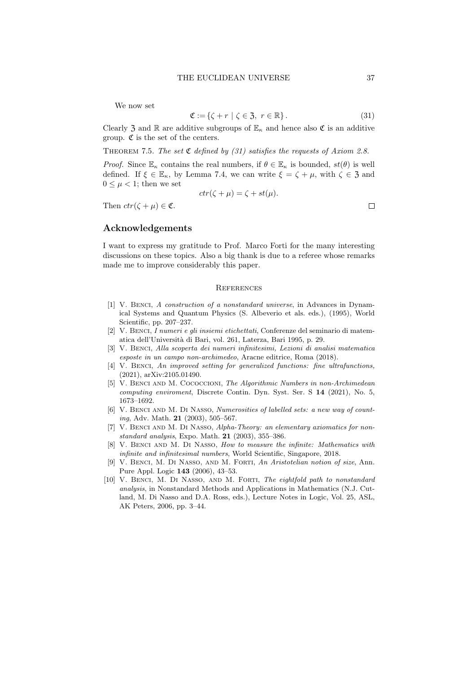We now set

$$
\mathfrak{C} := \{ \zeta + r \mid \zeta \in \mathfrak{Z}, \ r \in \mathbb{R} \}.
$$
 (31)

Clearly 3 and R are additive subgroups of  $\mathbb{E}_{\kappa}$  and hence also  $\mathfrak{C}$  is an additive group.  $\mathfrak C$  is the set of the centers.

THEOREM 7.5. The set  $\mathfrak C$  defined by (31) satisfies the requests of Axiom 2.8.

*Proof.* Since  $\mathbb{E}_{\kappa}$  contains the real numbers, if  $\theta \in \mathbb{E}_{\kappa}$  is bounded,  $st(\theta)$  is well defined. If  $\xi \in \mathbb{E}_{\kappa}$ , by Lemma 7.4, we can write  $\xi = \zeta + \mu$ , with  $\zeta \in \mathfrak{Z}$  and  $0 \leq \mu < 1$ ; then we set

$$
ctr(\zeta + \mu) = \zeta + st(\mu).
$$

Then  $ctr(\zeta + \mu) \in \mathfrak{C}$ .

Acknowledgements

I want to express my gratitude to Prof. Marco Forti for the many interesting discussions on these topics. Also a big thank is due to a referee whose remarks made me to improve considerably this paper.

### **REFERENCES**

- [1] V. Benci, A construction of a nonstandard universe, in Advances in Dynamical Systems and Quantum Physics (S. Albeverio et als. eds.), (1995), World Scientific, pp. 207–237.
- [2] V. Benci, I numeri e gli insiemi etichettati, Conferenze del seminario di matematica dell'Universit`a di Bari, vol. 261, Laterza, Bari 1995, p. 29.
- [3] V. Benci, Alla scoperta dei numeri infinitesimi, Lezioni di analisi matematica esposte in un campo non-archimedeo, Aracne editrice, Roma (2018).
- [4] V. BENCI, An improved setting for generalized functions: fine ultrafunctions, (2021), arXiv:2105.01490.
- [5] V. Benci and M. Cococcioni, The Algorithmic Numbers in non-Archimedean computing enviroment, Discrete Contin. Dyn. Syst. Ser. S 14 (2021), No. 5, 1673–1692.
- [6] V. Benci and M. Di Nasso, Numerosities of labelled sets: a new way of counting, Adv. Math. 21 (2003), 505–567.
- [7] V. Benci and M. Di Nasso, Alpha-Theory: an elementary axiomatics for nonstandard analysis, Expo. Math. 21 (2003), 355–386.
- [8] V. BENCI AND M. DI NASSO, How to measure the infinite: Mathematics with infinite and infinitesimal numbers, World Scientific, Singapore, 2018.
- [9] V. Benci, M. Di Nasso, and M. Forti, An Aristotelian notion of size, Ann. Pure Appl. Logic 143 (2006), 43–53.
- [10] V. BENCI, M. DI NASSO, AND M. FORTI, The eightfold path to nonstandard analysis, in Nonstandard Methods and Applications in Mathematics (N.J. Cutland, M. Di Nasso and D.A. Ross, eds.), Lecture Notes in Logic, Vol. 25, ASL, AK Peters, 2006, pp. 3–44.